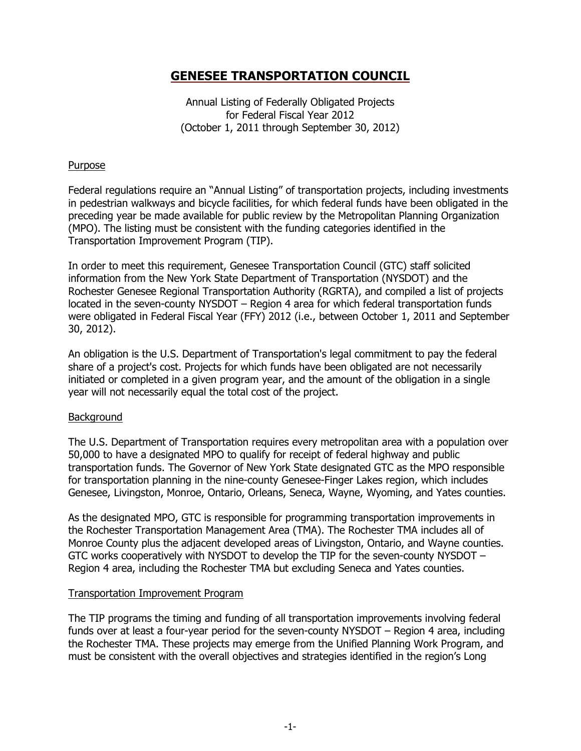Annual Listing of Federally Obligated Projects for Federal Fiscal Year 2012 (October 1, 2011 through September 30, 2012)

## **Purpose**

Federal regulations require an "Annual Listing" of transportation projects, including investments in pedestrian walkways and bicycle facilities, for which federal funds have been obligated in the preceding year be made available for public review by the Metropolitan Planning Organization (MPO). The listing must be consistent with the funding categories identified in the Transportation Improvement Program (TIP).

In order to meet this requirement, Genesee Transportation Council (GTC) staff solicited information from the New York State Department of Transportation (NYSDOT) and the Rochester Genesee Regional Transportation Authority (RGRTA), and compiled a list of projects located in the seven-county NYSDOT – Region 4 area for which federal transportation funds were obligated in Federal Fiscal Year (FFY) 2012 (i.e., between October 1, 2011 and September 30, 2012).

An obligation is the U.S. Department of Transportation's legal commitment to pay the federal share of a project's cost. Projects for which funds have been obligated are not necessarily initiated or completed in a given program year, and the amount of the obligation in a single year will not necessarily equal the total cost of the project.

## Background

The U.S. Department of Transportation requires every metropolitan area with a population over 50,000 to have a designated MPO to qualify for receipt of federal highway and public transportation funds. The Governor of New York State designated GTC as the MPO responsible for transportation planning in the nine-county Genesee-Finger Lakes region, which includes Genesee, Livingston, Monroe, Ontario, Orleans, Seneca, Wayne, Wyoming, and Yates counties.

As the designated MPO, GTC is responsible for programming transportation improvements in the Rochester Transportation Management Area (TMA). The Rochester TMA includes all of Monroe County plus the adjacent developed areas of Livingston, Ontario, and Wayne counties. GTC works cooperatively with NYSDOT to develop the TIP for the seven-county NYSDOT – Region 4 area, including the Rochester TMA but excluding Seneca and Yates counties.

## Transportation Improvement Program

The TIP programs the timing and funding of all transportation improvements involving federal funds over at least a four-year period for the seven-county NYSDOT – Region 4 area, including the Rochester TMA. These projects may emerge from the Unified Planning Work Program, and must be consistent with the overall objectives and strategies identified in the region's Long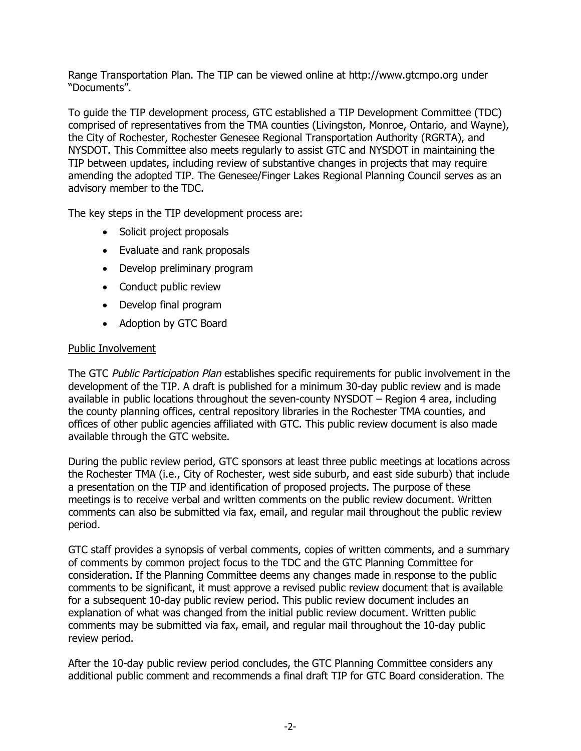Range Transportation Plan. The TIP can be viewed online at http://www.gtcmpo.org under "Documents".

To guide the TIP development process, GTC established a TIP Development Committee (TDC) comprised of representatives from the TMA counties (Livingston, Monroe, Ontario, and Wayne), the City of Rochester, Rochester Genesee Regional Transportation Authority (RGRTA), and NYSDOT. This Committee also meets regularly to assist GTC and NYSDOT in maintaining the TIP between updates, including review of substantive changes in projects that may require amending the adopted TIP. The Genesee/Finger Lakes Regional Planning Council serves as an advisory member to the TDC.

The key steps in the TIP development process are:

- Solicit project proposals
- Evaluate and rank proposals
- Develop preliminary program
- Conduct public review
- Develop final program
- Adoption by GTC Board

## Public Involvement

The GTC Public Participation Plan establishes specific requirements for public involvement in the development of the TIP. A draft is published for a minimum 30-day public review and is made available in public locations throughout the seven-county NYSDOT – Region 4 area, including the county planning offices, central repository libraries in the Rochester TMA counties, and offices of other public agencies affiliated with GTC. This public review document is also made available through the GTC website.

During the public review period, GTC sponsors at least three public meetings at locations across the Rochester TMA (i.e., City of Rochester, west side suburb, and east side suburb) that include a presentation on the TIP and identification of proposed projects. The purpose of these meetings is to receive verbal and written comments on the public review document. Written comments can also be submitted via fax, email, and regular mail throughout the public review period.

GTC staff provides a synopsis of verbal comments, copies of written comments, and a summary of comments by common project focus to the TDC and the GTC Planning Committee for consideration. If the Planning Committee deems any changes made in response to the public comments to be significant, it must approve a revised public review document that is available for a subsequent 10-day public review period. This public review document includes an explanation of what was changed from the initial public review document. Written public comments may be submitted via fax, email, and regular mail throughout the 10-day public review period.

After the 10-day public review period concludes, the GTC Planning Committee considers any additional public comment and recommends a final draft TIP for GTC Board consideration. The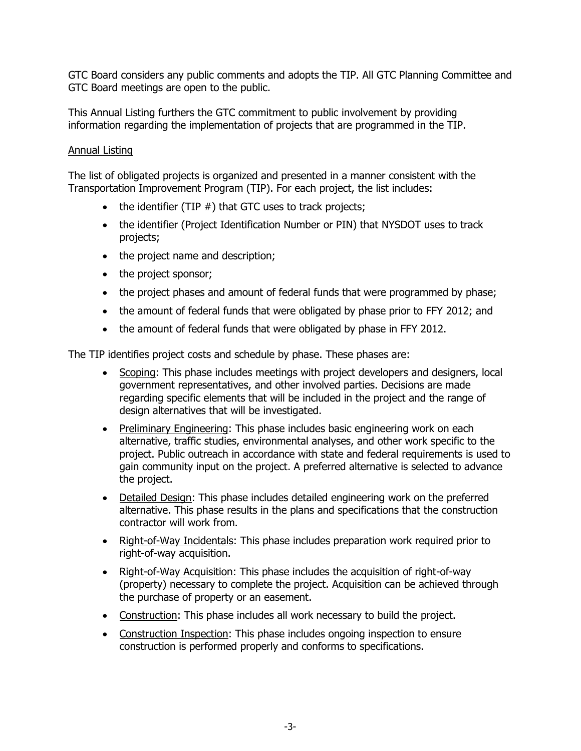GTC Board considers any public comments and adopts the TIP. All GTC Planning Committee and GTC Board meetings are open to the public.

This Annual Listing furthers the GTC commitment to public involvement by providing information regarding the implementation of projects that are programmed in the TIP.

## Annual Listing

The list of obligated projects is organized and presented in a manner consistent with the Transportation Improvement Program (TIP). For each project, the list includes:

- $\bullet$  the identifier (TIP  $#$ ) that GTC uses to track projects;
- the identifier (Project Identification Number or PIN) that NYSDOT uses to track projects;
- the project name and description;
- the project sponsor;
- the project phases and amount of federal funds that were programmed by phase;
- the amount of federal funds that were obligated by phase prior to FFY 2012; and
- the amount of federal funds that were obligated by phase in FFY 2012.

The TIP identifies project costs and schedule by phase. These phases are:

- Scoping: This phase includes meetings with project developers and designers, local government representatives, and other involved parties. Decisions are made regarding specific elements that will be included in the project and the range of design alternatives that will be investigated.
- Preliminary Engineering: This phase includes basic engineering work on each alternative, traffic studies, environmental analyses, and other work specific to the project. Public outreach in accordance with state and federal requirements is used to gain community input on the project. A preferred alternative is selected to advance the project.
- Detailed Design: This phase includes detailed engineering work on the preferred alternative. This phase results in the plans and specifications that the construction contractor will work from.
- Right-of-Way Incidentals: This phase includes preparation work required prior to right-of-way acquisition.
- Right-of-Way Acquisition: This phase includes the acquisition of right-of-way (property) necessary to complete the project. Acquisition can be achieved through the purchase of property or an easement.
- Construction: This phase includes all work necessary to build the project.
- Construction Inspection: This phase includes ongoing inspection to ensure construction is performed properly and conforms to specifications.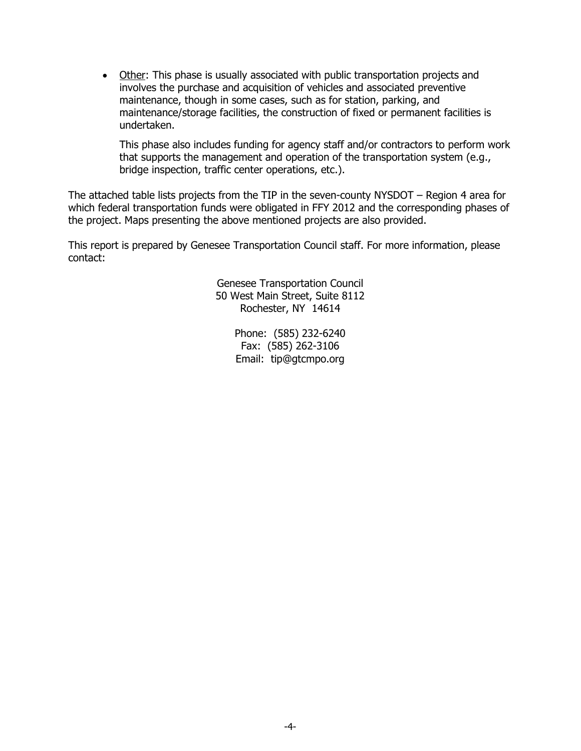Other: This phase is usually associated with public transportation projects and involves the purchase and acquisition of vehicles and associated preventive maintenance, though in some cases, such as for station, parking, and maintenance/storage facilities, the construction of fixed or permanent facilities is undertaken.

This phase also includes funding for agency staff and/or contractors to perform work that supports the management and operation of the transportation system (e.g., bridge inspection, traffic center operations, etc.).

The attached table lists projects from the TIP in the seven-county NYSDOT – Region 4 area for which federal transportation funds were obligated in FFY 2012 and the corresponding phases of the project. Maps presenting the above mentioned projects are also provided.

This report is prepared by Genesee Transportation Council staff. For more information, please contact:

> Genesee Transportation Council 50 West Main Street, Suite 8112 Rochester, NY 14614

> > Phone: (585) 232-6240 Fax: (585) 262-3106 Email: tip@gtcmpo.org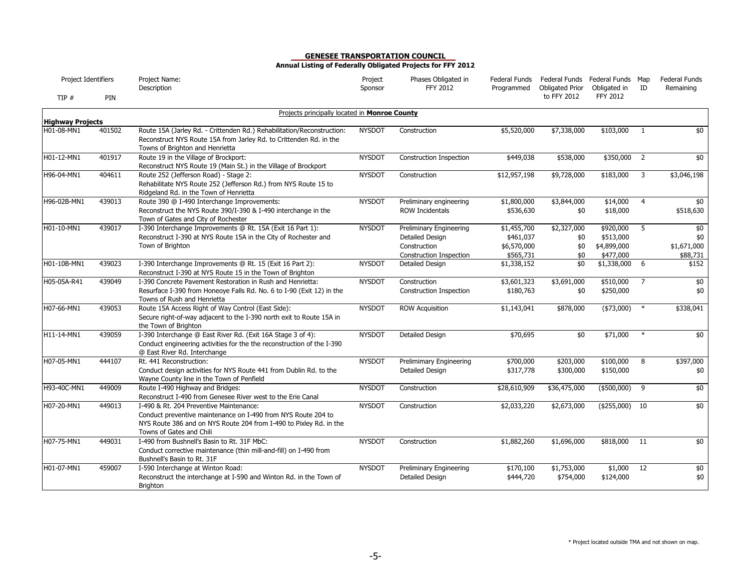| Project Identifiers     |        | Project Name:<br>Description                                                                                                                                                                               | Project<br>Sponsor | Phases Obligated in<br><b>FFY 2012</b>                                                | Federal Funds<br>Programmed                          | Federal Funds Federal Funds Map<br>Obligated Prior | Obligated in                                       | ID             | <b>Federal Funds</b><br>Remaining     |
|-------------------------|--------|------------------------------------------------------------------------------------------------------------------------------------------------------------------------------------------------------------|--------------------|---------------------------------------------------------------------------------------|------------------------------------------------------|----------------------------------------------------|----------------------------------------------------|----------------|---------------------------------------|
| TIP $#$                 | PIN    |                                                                                                                                                                                                            |                    |                                                                                       |                                                      | to FFY 2012                                        | <b>FFY 2012</b>                                    |                |                                       |
| <b>Highway Projects</b> |        | Projects principally located in Monroe County                                                                                                                                                              |                    |                                                                                       |                                                      |                                                    |                                                    |                |                                       |
| H01-08-MN1              | 401502 | Route 15A (Jarley Rd. - Crittenden Rd.) Rehabilitation/Reconstruction:<br>Reconstruct NYS Route 15A from Jarley Rd. to Crittenden Rd. in the<br>Towns of Brighton and Henrietta                            | <b>NYSDOT</b>      | Construction                                                                          | \$5,520,000                                          | \$7,338,000                                        | \$103,000                                          | -1             | \$0                                   |
| H01-12-MN1              | 401917 | Route 19 in the Village of Brockport:<br>Reconstruct NYS Route 19 (Main St.) in the Village of Brockport                                                                                                   | <b>NYSDOT</b>      | <b>Construction Inspection</b>                                                        | \$449,038                                            | \$538,000                                          | \$350,000                                          | $\overline{2}$ | \$0                                   |
| H96-04-MN1              | 404611 | Route 252 (Jefferson Road) - Stage 2:<br>Rehabilitate NYS Route 252 (Jefferson Rd.) from NYS Route 15 to<br>Ridgeland Rd. in the Town of Henrietta                                                         | <b>NYSDOT</b>      | Construction                                                                          | \$12,957,198                                         | \$9,728,000                                        | \$183,000                                          | 3              | \$3,046,198                           |
| H96-02B-MN1             | 439013 | Route 390 @ I-490 Interchange Improvements:<br>Reconstruct the NYS Route 390/I-390 & I-490 interchange in the<br>Town of Gates and City of Rochester                                                       | <b>NYSDOT</b>      | Preliminary engineering<br><b>ROW Incidentals</b>                                     | \$1,800,000<br>\$536,630                             | \$3,844,000<br>\$0                                 | \$14,000<br>\$18,000                               | $\overline{4}$ | \$0<br>\$518,630                      |
| H01-10-MN1              | 439017 | I-390 Interchange Improvements @ Rt. 15A (Exit 16 Part 1):<br>Reconstruct I-390 at NYS Route 15A in the City of Rochester and<br>Town of Brighton                                                          | <b>NYSDOT</b>      | Preliminary Engineering<br>Detailed Design<br>Construction<br>Construction Inspection | \$1,455,700<br>\$461,037<br>\$6,570,000<br>\$565,731 | \$2,327,000<br>\$0<br>\$0<br>\$0                   | \$920,000<br>\$513,000<br>\$4,899,000<br>\$477,000 | 5              | \$0<br>\$0<br>\$1,671,000<br>\$88,731 |
| H01-10B-MN1             | 439023 | I-390 Interchange Improvements @ Rt. 15 (Exit 16 Part 2):<br>Reconstruct I-390 at NYS Route 15 in the Town of Brighton                                                                                     | <b>NYSDOT</b>      | Detailed Design                                                                       | \$1,338,152                                          | \$0                                                | \$1,338,000                                        | 6              | \$152                                 |
| H05-05A-R41             | 439049 | I-390 Concrete Pavement Restoration in Rush and Henrietta:<br>Resurface I-390 from Honeoye Falls Rd. No. 6 to I-90 (Exit 12) in the<br>Towns of Rush and Henrietta                                         | <b>NYSDOT</b>      | Construction<br>Construction Inspection                                               | \$3,601,323<br>\$180,763                             | \$3,691,000<br>\$0                                 | \$510,000<br>\$250,000                             | $\overline{7}$ | \$0<br>\$0                            |
| H07-66-MN1              | 439053 | Route 15A Access Right of Way Control (East Side):<br>Secure right-of-way adjacent to the I-390 north exit to Route 15A in<br>the Town of Brighton                                                         | <b>NYSDOT</b>      | <b>ROW Acquisition</b>                                                                | \$1,143,041                                          | \$878,000                                          | $(*73,000)$                                        | $\ast$         | \$338,041                             |
| H11-14-MN1              | 439059 | I-390 Interchange @ East River Rd. (Exit 16A Stage 3 of 4):<br>Conduct engineering activities for the the reconstruction of the I-390<br>@ East River Rd. Interchange                                      | <b>NYSDOT</b>      | <b>Detailed Design</b>                                                                | \$70,695                                             | $\overline{50}$                                    | \$71,000                                           | $\ast$         | \$0                                   |
| H07-05-MN1              | 444107 | Rt. 441 Reconstruction:<br>Conduct design activities for NYS Route 441 from Dublin Rd. to the<br>Wayne County line in the Town of Penfield                                                                 | <b>NYSDOT</b>      | <b>Prelimimary Engineering</b><br>Detailed Design                                     | \$700,000<br>\$317,778                               | \$203,000<br>\$300,000                             | \$100,000<br>\$150,000                             | 8              | \$397,000<br>\$0                      |
| H93-40C-MN1             | 449009 | Route I-490 Highway and Bridges:<br>Reconstruct I-490 from Genesee River west to the Erie Canal                                                                                                            | <b>NYSDOT</b>      | Construction                                                                          | \$28,610,909                                         | \$36,475,000                                       | $(*500,000)$                                       | 9              | $\frac{1}{2}$                         |
| H07-20-MN1              | 449013 | I-490 & Rt. 204 Preventive Maintenance:<br>Conduct preventive maintenance on I-490 from NYS Route 204 to<br>NYS Route 386 and on NYS Route 204 from I-490 to Pixley Rd. in the<br>Towns of Gates and Chili | <b>NYSDOT</b>      | Construction                                                                          | \$2,033,220                                          | \$2,673,000                                        | ( \$255,000)                                       | 10             | \$0                                   |
| H07-75-MN1              | 449031 | I-490 from Bushnell's Basin to Rt. 31F MbC:<br>Conduct corrective maintenance (thin mill-and-fill) on I-490 from<br>Bushnell's Basin to Rt. 31F                                                            | <b>NYSDOT</b>      | Construction                                                                          | \$1,882,260                                          | \$1,696,000                                        | \$818,000                                          | 11             | \$0                                   |
| H01-07-MN1              | 459007 | I-590 Interchange at Winton Road:<br>Reconstruct the interchange at I-590 and Winton Rd. in the Town of<br>Brighton                                                                                        | <b>NYSDOT</b>      | Preliminary Engineering<br>Detailed Design                                            | \$170,100<br>\$444,720                               | \$1,753,000<br>\$754,000                           | \$1,000<br>\$124,000                               | 12             | $\frac{1}{2}$<br>\$0                  |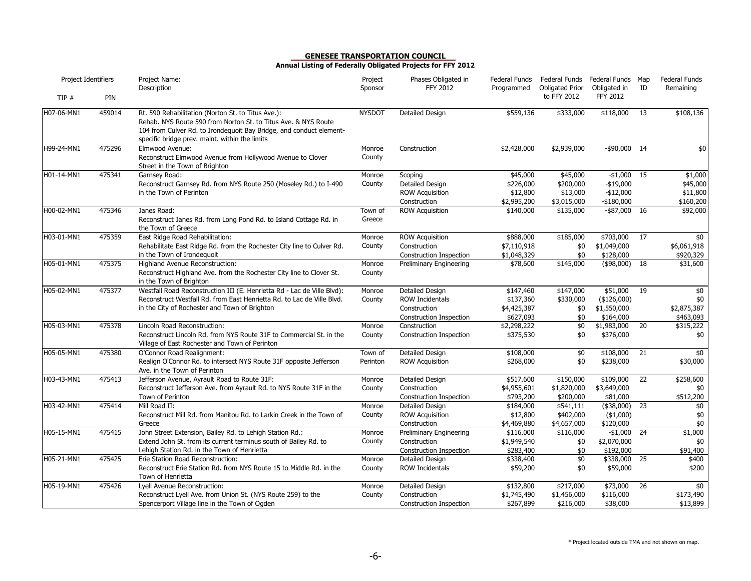| Project Identifiers |        | Project Name:<br>Description                                                                                                                                                                                                                  | Project<br>Sponsor  | Phases Obligated in<br><b>FFY 2012</b>                                               | Federal Funds<br>Programmed                        | Federal Funds Federal Funds Map<br><b>Obligated Prior</b> | Obligated in                                            | ID              | <b>Federal Funds</b><br>Remaining            |
|---------------------|--------|-----------------------------------------------------------------------------------------------------------------------------------------------------------------------------------------------------------------------------------------------|---------------------|--------------------------------------------------------------------------------------|----------------------------------------------------|-----------------------------------------------------------|---------------------------------------------------------|-----------------|----------------------------------------------|
| TIP#                | PIN    |                                                                                                                                                                                                                                               |                     |                                                                                      |                                                    | to FFY 2012                                               | <b>FFY 2012</b>                                         |                 |                                              |
| H07-06-MN1          | 459014 | Rt. 590 Rehabilitation (Norton St. to Titus Ave.):<br>Rehab. NYS Route 590 from Norton St. to Titus Ave. & NYS Route<br>104 from Culver Rd. to Irondequoit Bay Bridge, and conduct element-<br>specific bridge prev. maint. within the limits | <b>NYSDOT</b>       | Detailed Design                                                                      | \$559,136                                          | \$333,000                                                 | \$118,000                                               | 13              | \$108,136                                    |
| H99-24-MN1          | 475296 | Elmwood Avenue:<br>Reconstruct Elmwood Avenue from Hollywood Avenue to Clover<br>Street in the Town of Brighton                                                                                                                               | Monroe<br>County    | Construction                                                                         | \$2,428,000                                        | \$2,939,000                                               | $-$ \$90,000 14                                         |                 | \$0                                          |
| H01-14-MN1          | 475341 | Garnsey Road:<br>Reconstruct Garnsey Rd. from NYS Route 250 (Moseley Rd.) to I-490<br>in the Town of Perinton                                                                                                                                 | Monroe<br>County    | Scoping<br>Detailed Design<br><b>ROW Acquisition</b><br>Construction                 | \$45,000<br>\$226,000<br>\$12,800<br>\$2,995,200   | \$45,000<br>\$200,000<br>\$13,000<br>\$3,015,000          | $-$1,000$ 15<br>$-$19,000$<br>$-$12,000$<br>$-$180,000$ |                 | \$1,000<br>\$45,000<br>\$11,800<br>\$160,200 |
| H00-02-MN1          | 475346 | Janes Road:<br>Reconstruct Janes Rd. from Long Pond Rd. to Island Cottage Rd. in<br>the Town of Greece                                                                                                                                        | Town of<br>Greece   | <b>ROW Acquisition</b>                                                               | \$140,000                                          | \$135,000                                                 | $-$ \$87,000 16                                         |                 | \$92,000                                     |
| H03-01-MN1          | 475359 | East Ridge Road Rehabilitation:<br>Rehabilitate East Ridge Rd. from the Rochester City line to Culver Rd.<br>in the Town of Irondequoit                                                                                                       | Monroe<br>County    | <b>ROW Acquisition</b><br>Construction<br>Construction Inspection                    | \$888,000<br>\$7,110,918<br>\$1,048,329            | \$185,000<br>\$0<br>\$0                                   | \$703,000<br>\$1,049,000<br>\$128,000                   | 17              | \$0<br>\$6,061,918<br>\$920,329              |
| H05-01-MN1          | 475375 | Highland Avenue Reconstruction:<br>Reconstruct Highland Ave. from the Rochester City line to Clover St.<br>in the Town of Brighton                                                                                                            | Monroe<br>County    | Preliminary Engineering                                                              | \$78,600                                           | \$145,000                                                 | (\$98,000)                                              | 18              | \$31,600                                     |
| H05-02-MN1          | 475377 | Westfall Road Reconstruction III (E. Henrietta Rd - Lac de Ville Blvd):<br>Reconstruct Westfall Rd. from East Henrietta Rd. to Lac de Ville Blvd.<br>in the City of Rochester and Town of Brighton                                            | Monroe<br>County    | Detailed Design<br><b>ROW Incidentals</b><br>Construction<br>Construction Inspection | \$147,460<br>\$137,360<br>\$4,425,387<br>\$627,093 | \$147,000<br>\$330,000<br>\$0<br>\$0                      | \$51,000<br>( \$126,000)<br>\$1,550,000<br>\$164,000    | 19              | \$0<br>\$0<br>\$2,875,387<br>\$463,093       |
| H05-03-MN1          | 475378 | Lincoln Road Reconstruction:<br>Reconstruct Lincoln Rd. from NYS Route 31F to Commercial St. in the<br>Village of East Rochester and Town of Perinton                                                                                         | Monroe<br>County    | Construction<br>Construction Inspection                                              | \$2,298,222<br>\$375,530                           | \$0<br>\$0                                                | \$1,983,000<br>\$376,000                                | $\overline{20}$ | \$315,222<br>\$0                             |
| H05-05-MN1          | 475380 | O'Connor Road Realignment:<br>Realign O'Connor Rd. to intersect NYS Route 31F opposite Jefferson<br>Ave. in the Town of Perinton                                                                                                              | Town of<br>Perinton | Detailed Design<br><b>ROW Acquisition</b>                                            | \$108,000<br>\$268,000                             | \$0<br>\$0                                                | \$108,000<br>\$238,000                                  | 21              | \$0<br>\$30,000                              |
| H03-43-MN1          | 475413 | Jefferson Avenue, Ayrault Road to Route 31F:<br>Reconstruct Jefferson Ave. from Ayrault Rd. to NYS Route 31F in the<br>Town of Perinton                                                                                                       | Monroe<br>County    | Detailed Design<br>Construction<br>Construction Inspection                           | \$517,600<br>\$4,955,601<br>\$793,200              | \$150,000<br>\$1,820,000<br>\$200,000                     | \$109,000<br>\$3,649,000<br>\$81,000                    | $\overline{22}$ | \$258,600<br>\$0<br>\$512,200                |
| H03-42-MN1          | 475414 | Mill Road II:<br>Reconstruct Mill Rd. from Manitou Rd. to Larkin Creek in the Town of<br>Greece                                                                                                                                               | Monroe<br>County    | Detailed Design<br><b>ROW Acquisition</b><br>Construction                            | \$184,000<br>\$12,800<br>\$4,469,880               | \$541,111<br>\$402,000<br>\$4,657,000                     | $(*38,000)$<br>( \$1,000)<br>\$120,000                  | 23              | \$0<br>\$0<br>\$0                            |
| H05-15-MN1          | 475415 | John Street Extension, Bailey Rd. to Lehigh Station Rd.:<br>Extend John St. from its current terminus south of Bailey Rd. to<br>Lehigh Station Rd. in the Town of Henrietta                                                                   | Monroe<br>County    | <b>Preliminary Engineering</b><br>Construction<br>Construction Inspection            | \$116,000<br>\$1,949,540<br>\$283,400              | \$116,000<br>\$0<br>\$0                                   | $-$1,000$<br>\$2,070,000<br>\$192,000                   | 24              | \$1,000<br>\$0<br>\$91,400                   |
| H05-21-MN1          | 475425 | Erie Station Road Reconstruction:<br>Reconstruct Erie Station Rd. from NYS Route 15 to Middle Rd. in the<br>Town of Henrietta                                                                                                                 | Monroe<br>County    | Detailed Design<br>ROW Incidentals                                                   | \$338,400<br>\$59,200                              | \$0<br>\$0                                                | \$338,000<br>\$59,000                                   | 25              | \$400<br>\$200                               |
| H05-19-MN1          | 475426 | Lyell Avenue Reconstruction:<br>Reconstruct Lyell Ave. from Union St. (NYS Route 259) to the<br>Spencerport Village line in the Town of Ogden                                                                                                 | Monroe<br>County    | Detailed Design<br>Construction<br>Construction Inspection                           | \$132,800<br>\$1,745,490<br>\$267,899              | \$217,000<br>\$1,456,000<br>\$216,000                     | \$73,000<br>\$116,000<br>\$38,000                       | 26              | \$0<br>\$173,490<br>\$13,899                 |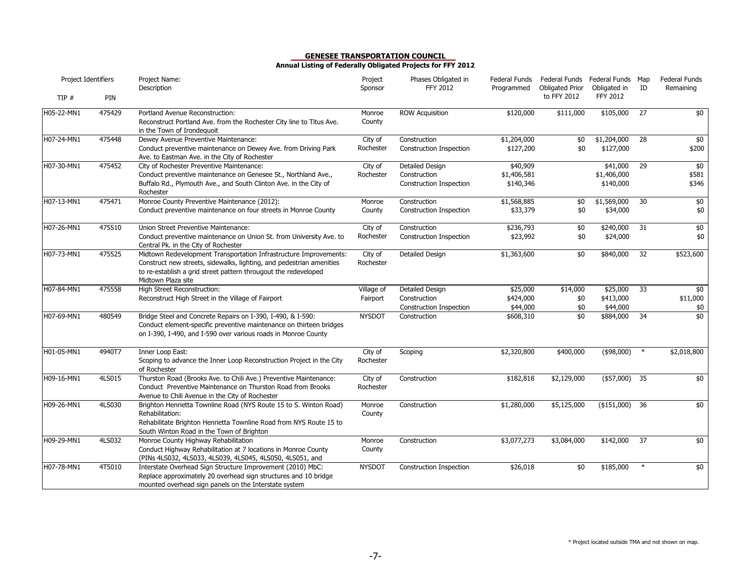| Project Identifiers |        | Project Name:<br>Description                                                                                                                                                                                                       | Project<br>Sponsor     | Phases Obligated in<br>FFY 2012                            | Federal Funds<br>Programmed          | <b>Obligated Prior</b> | Federal Funds Federal Funds Map<br>Obligated in | ID              | <b>Federal Funds</b><br>Remaining |
|---------------------|--------|------------------------------------------------------------------------------------------------------------------------------------------------------------------------------------------------------------------------------------|------------------------|------------------------------------------------------------|--------------------------------------|------------------------|-------------------------------------------------|-----------------|-----------------------------------|
| TIP#                | PIN    |                                                                                                                                                                                                                                    |                        |                                                            |                                      | to FFY 2012            | <b>FFY 2012</b>                                 |                 |                                   |
| H05-22-MN1          | 475429 | Portland Avenue Reconstruction:<br>Reconstruct Portland Ave. from the Rochester City line to Titus Ave.<br>in the Town of Irondequoit                                                                                              | Monroe<br>County       | <b>ROW Acquisition</b>                                     | \$120,000                            | \$111,000              | \$105,000                                       | 27              | \$0                               |
| H07-24-MN1          | 475448 | Dewey Avenue Preventive Maintenance:<br>Conduct preventive maintenance on Dewey Ave. from Driving Park<br>Ave. to Eastman Ave. in the City of Rochester                                                                            | City of<br>Rochester   | Construction<br>Construction Inspection                    | \$1,204,000<br>\$127,200             | \$0<br>\$0             | \$1,204,000<br>\$127,000                        | $\overline{28}$ | $\frac{1}{2}$<br>\$200            |
| H07-30-MN1          | 475452 | City of Rochester Preventive Maintenance:<br>Conduct preventive maintenance on Genesee St., Northland Ave.,<br>Buffalo Rd., Plymouth Ave., and South Clinton Ave. in the City of<br>Rochester                                      | City of<br>Rochester   | Detailed Design<br>Construction<br>Construction Inspection | \$40,909<br>\$1,406,581<br>\$140,346 |                        | \$41,000<br>\$1,406,000<br>\$140,000            | 29              | $\frac{1}{2}$<br>\$581<br>\$346   |
| H07-13-MN1          | 475471 | Monroe County Preventive Maintenance (2012):<br>Conduct preventive maintenance on four streets in Monroe County                                                                                                                    | Monroe<br>County       | Construction<br>Construction Inspection                    | \$1,568,885<br>\$33,379              | \$0<br>\$0             | \$1,569,000<br>\$34,000                         | 30              | $$0$<br>\$0                       |
| H07-26-MN1          | 475510 | Union Street Preventive Maintenance:<br>Conduct preventive maintenance on Union St. from University Ave. to<br>Central Pk. in the City of Rochester                                                                                | City of<br>Rochester   | Construction<br>Construction Inspection                    | \$236,793<br>\$23,992                | \$0<br>\$0             | \$240,000<br>\$24,000                           | 31              | \$0<br>\$0                        |
| H07-73-MN1          | 475525 | Midtown Redevelopment Transportation Infrastructure Improvements:<br>Construct new streets, sidewalks, lighting, and pedestrian amenities<br>to re-establish a grid street pattern througout the redeveloped<br>Midtown Plaza site | City of<br>Rochester   | Detailed Design                                            | \$1,363,600                          | \$0                    | \$840,000                                       | 32              | \$523,600                         |
| H07-84-MN1          | 475558 | High Street Reconstruction:<br>Reconstruct High Street in the Village of Fairport                                                                                                                                                  | Village of<br>Fairport | Detailed Design<br>Construction<br>Construction Inspection | \$25,000<br>\$424,000<br>\$44,000    | \$14,000<br>\$0<br>\$0 | \$25,000<br>\$413,000<br>\$44,000               | 33              | \$0<br>\$11,000<br>\$0            |
| H07-69-MN1          | 480549 | Bridge Steel and Concrete Repairs on I-390, I-490, & I-590:<br>Conduct element-specific preventive maintenance on thirteen bridges<br>on I-390, I-490, and I-590 over various roads in Monroe County                               | <b>NYSDOT</b>          | Construction                                               | \$608,310                            | \$0                    | \$884,000                                       | 34              | \$0                               |
| H01-05-MN1          | 4940T7 | Inner Loop East:<br>Scoping to advance the Inner Loop Reconstruction Project in the City<br>of Rochester                                                                                                                           | City of<br>Rochester   | Scoping                                                    | \$2,320,800                          | \$400,000              | ( \$98,000)                                     | $\ast$          | \$2,018,800                       |
| H09-16-MN1          | 4LS015 | Thurston Road (Brooks Ave. to Chili Ave.) Preventive Maintenance:<br>Conduct Preventive Maintenance on Thurston Road from Brooks<br>Avenue to Chili Avenue in the City of Rochester                                                | City of<br>Rochester   | Construction                                               | \$182,818                            | \$2,129,000            | (\$57,000)                                      | 35              | $\frac{1}{2}$                     |
| H09-26-MN1          | 4LS030 | Brighton Henrietta Townline Road (NYS Route 15 to S. Winton Road)<br>Rehabilitation:<br>Rehabilitate Brighton Henrietta Townline Road from NYS Route 15 to<br>South Winton Road in the Town of Brighton                            | Monroe<br>County       | Construction                                               | \$1,280,000                          | \$5,125,000            | $($ \$151,000)                                  | 36              | $\frac{1}{2}$                     |
| H09-29-MN1          | 4LS032 | Monroe County Highway Rehabilitation<br>Conduct Highway Rehabilitation at 7 locations in Monroe County<br>(PINs 4LS032, 4LS033, 4LS039, 4LS045, 4LS050, 4LS051, and                                                                | Monroe<br>County       | Construction                                               | \$3,077,273                          | \$3,084,000            | \$142,000                                       | 37              | \$0                               |
| H07-78-MN1          | 4T5010 | Interstate Overhead Sign Structure Improvement (2010) MbC:<br>Replace approximately 20 overhead sign structures and 10 bridge<br>mounted overhead sign panels on the Interstate system                                             | <b>NYSDOT</b>          | Construction Inspection                                    | \$26,018                             | \$0                    | \$185,000                                       | $\ast$          | \$0                               |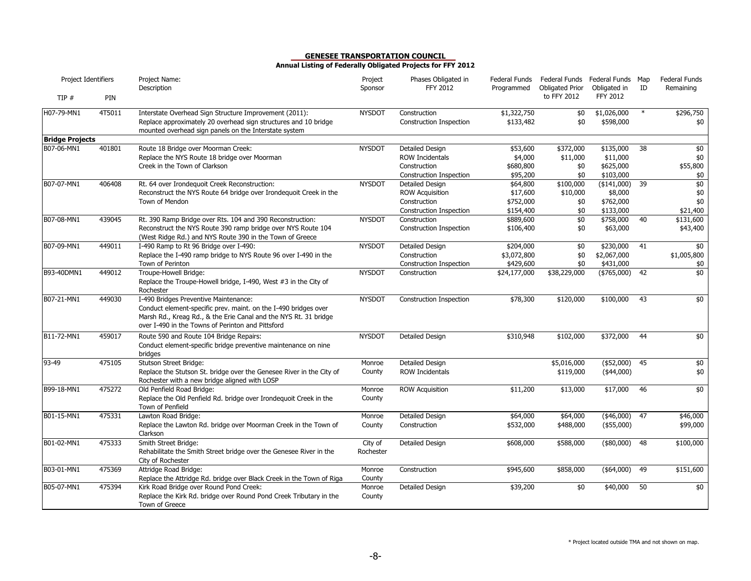| Project Identifiers    |        | Project Name:<br>Description                                                                                                                                                       | Project<br>Sponsor | Phases Obligated in<br><b>FFY 2012</b>  | Federal Funds<br>Programmed | Federal Funds Federal Funds Map<br>Obligated Prior | Obligated in             | ID     | <b>Federal Funds</b><br>Remaining |
|------------------------|--------|------------------------------------------------------------------------------------------------------------------------------------------------------------------------------------|--------------------|-----------------------------------------|-----------------------------|----------------------------------------------------|--------------------------|--------|-----------------------------------|
| TIP#                   | PIN    |                                                                                                                                                                                    |                    |                                         |                             | to FFY 2012                                        | <b>FFY 2012</b>          |        |                                   |
| H07-79-MN1             | 4T5011 | Interstate Overhead Sign Structure Improvement (2011):<br>Replace approximately 20 overhead sign structures and 10 bridge<br>mounted overhead sign panels on the Interstate system | <b>NYSDOT</b>      | Construction<br>Construction Inspection | \$1,322,750<br>\$133,482    | \$0<br>\$0                                         | \$1,026,000<br>\$598,000 | $\ast$ | \$296,750<br>\$0                  |
| <b>Bridge Projects</b> |        |                                                                                                                                                                                    |                    |                                         |                             |                                                    |                          |        |                                   |
| B07-06-MN1             | 401801 | Route 18 Bridge over Moorman Creek:                                                                                                                                                | <b>NYSDOT</b>      | Detailed Design                         | \$53,600                    | \$372,000                                          | \$135,000                | 38     | $\frac{1}{2}$                     |
|                        |        | Replace the NYS Route 18 bridge over Moorman                                                                                                                                       |                    | <b>ROW Incidentals</b>                  | \$4,000                     | \$11,000                                           | \$11,000                 |        | \$0                               |
|                        |        | Creek in the Town of Clarkson                                                                                                                                                      |                    | Construction                            | \$680,800                   | \$0                                                | \$625,000                |        | \$55,800                          |
|                        |        |                                                                                                                                                                                    |                    | Construction Inspection                 | \$95,200                    | \$0                                                | \$103,000                |        | \$0                               |
| B07-07-MN1             | 406408 | Rt. 64 over Irondequoit Creek Reconstruction:                                                                                                                                      | <b>NYSDOT</b>      | Detailed Design                         | \$64,800                    | \$100,000                                          | (\$141,000)              | 39     | \$0                               |
|                        |        | Reconstruct the NYS Route 64 bridge over Irondequoit Creek in the                                                                                                                  |                    | <b>ROW Acquisition</b>                  | \$17,600                    | \$10,000                                           | \$8,000                  |        | $\$0$                             |
|                        |        | Town of Mendon                                                                                                                                                                     |                    | Construction                            | \$752,000                   | \$0                                                | \$762,000                |        | \$0                               |
|                        |        | Rt. 390 Ramp Bridge over Rts. 104 and 390 Reconstruction:                                                                                                                          |                    | Construction Inspection                 | \$154,400<br>\$889,600      | \$0                                                | \$133,000<br>\$758,000   | 40     | \$21,400                          |
| B07-08-MN1             | 439045 | Reconstruct the NYS Route 390 ramp bridge over NYS Route 104                                                                                                                       | <b>NYSDOT</b>      | Construction                            |                             | \$0                                                |                          |        | \$131,600                         |
|                        |        | (West Ridge Rd.) and NYS Route 390 in the Town of Greece                                                                                                                           |                    | Construction Inspection                 | \$106,400                   | \$0                                                | \$63,000                 |        | \$43,400                          |
| B07-09-MN1             | 449011 | I-490 Ramp to Rt 96 Bridge over I-490:                                                                                                                                             | <b>NYSDOT</b>      | Detailed Design                         | \$204,000                   | \$0                                                | \$230,000                | 41     | \$0                               |
|                        |        | Replace the I-490 ramp bridge to NYS Route 96 over I-490 in the                                                                                                                    |                    | Construction                            | \$3,072,800                 | \$0                                                | \$2,067,000              |        | \$1,005,800                       |
|                        |        | Town of Perinton                                                                                                                                                                   |                    | Construction Inspection                 | \$429,600                   | \$0                                                | \$431,000                |        | \$0                               |
| B93-40DMN1             | 449012 | Troupe-Howell Bridge:                                                                                                                                                              | <b>NYSDOT</b>      | Construction                            | \$24,177,000                | \$38,229,000                                       | $(*765,000)$             | 42     | \$0                               |
|                        |        | Replace the Troupe-Howell bridge, I-490, West #3 in the City of<br>Rochester                                                                                                       |                    |                                         |                             |                                                    |                          |        |                                   |
| B07-21-MN1             | 449030 | I-490 Bridges Preventive Maintenance:                                                                                                                                              | <b>NYSDOT</b>      | Construction Inspection                 | \$78,300                    | \$120,000                                          | \$100,000                | 43     | \$0                               |
|                        |        | Conduct element-specific prev. maint. on the I-490 bridges over                                                                                                                    |                    |                                         |                             |                                                    |                          |        |                                   |
|                        |        | Marsh Rd., Kreag Rd., & the Erie Canal and the NYS Rt. 31 bridge<br>over I-490 in the Towns of Perinton and Pittsford                                                              |                    |                                         |                             |                                                    |                          |        |                                   |
| B11-72-MN1             | 459017 | Route 590 and Route 104 Bridge Repairs:                                                                                                                                            | <b>NYSDOT</b>      | Detailed Design                         | \$310,948                   | \$102,000                                          | \$372,000                | 44     | \$0                               |
|                        |        | Conduct element-specific bridge preventive maintenance on nine                                                                                                                     |                    |                                         |                             |                                                    |                          |        |                                   |
|                        |        | bridges                                                                                                                                                                            |                    |                                         |                             |                                                    |                          |        |                                   |
| 93-49                  | 475105 | Stutson Street Bridge:                                                                                                                                                             | Monroe             | Detailed Design                         |                             | \$5,016,000                                        | ( \$52,000)              | 45     | \$0                               |
|                        |        | Replace the Stutson St. bridge over the Genesee River in the City of                                                                                                               | County             | <b>ROW Incidentals</b>                  |                             | \$119,000                                          | $(*44,000)$              |        | $$0$$                             |
|                        |        | Rochester with a new bridge aligned with LOSP                                                                                                                                      |                    |                                         |                             |                                                    |                          |        |                                   |
| B99-18-MN1             | 475272 | Old Penfield Road Bridge:                                                                                                                                                          | Monroe             | <b>ROW Acquisition</b>                  | \$11,200                    | \$13,000                                           | \$17,000                 | 46     | \$0                               |
|                        |        | Replace the Old Penfield Rd. bridge over Irondequoit Creek in the<br>Town of Penfield                                                                                              | County             |                                         |                             |                                                    |                          |        |                                   |
| B01-15-MN1             | 475331 | Lawton Road Bridge:                                                                                                                                                                | Monroe             | Detailed Design                         | \$64,000                    | \$64,000                                           | $(*46,000)$              | 47     | \$46,000                          |
|                        |        | Replace the Lawton Rd. bridge over Moorman Creek in the Town of                                                                                                                    | County             | Construction                            | \$532,000                   | \$488,000                                          | $(*55,000)$              |        | \$99,000                          |
|                        |        | Clarkson                                                                                                                                                                           |                    |                                         |                             |                                                    |                          |        |                                   |
| B01-02-MN1             | 475333 | Smith Street Bridge:                                                                                                                                                               | City of            | Detailed Design                         | \$608,000                   | \$588,000                                          | $(*80,000)$              | 48     | \$100,000                         |
|                        |        | Rehabilitate the Smith Street bridge over the Genesee River in the<br>City of Rochester                                                                                            | Rochester          |                                         |                             |                                                    |                          |        |                                   |
| B03-01-MN1             | 475369 | Attridge Road Bridge:                                                                                                                                                              | Monroe             | Construction                            | \$945,600                   | \$858,000                                          | $(*64,000)$              | 49     | \$151,600                         |
|                        |        | Replace the Attridge Rd. bridge over Black Creek in the Town of Riga                                                                                                               | County             |                                         |                             |                                                    |                          |        |                                   |
| B05-07-MN1             | 475394 | Kirk Road Bridge over Round Pond Creek:                                                                                                                                            | Monroe             | Detailed Design                         | \$39,200                    | \$0                                                | \$40,000                 | 50     | \$0                               |
|                        |        | Replace the Kirk Rd. bridge over Round Pond Creek Tributary in the                                                                                                                 | County             |                                         |                             |                                                    |                          |        |                                   |
|                        |        | Town of Greece                                                                                                                                                                     |                    |                                         |                             |                                                    |                          |        |                                   |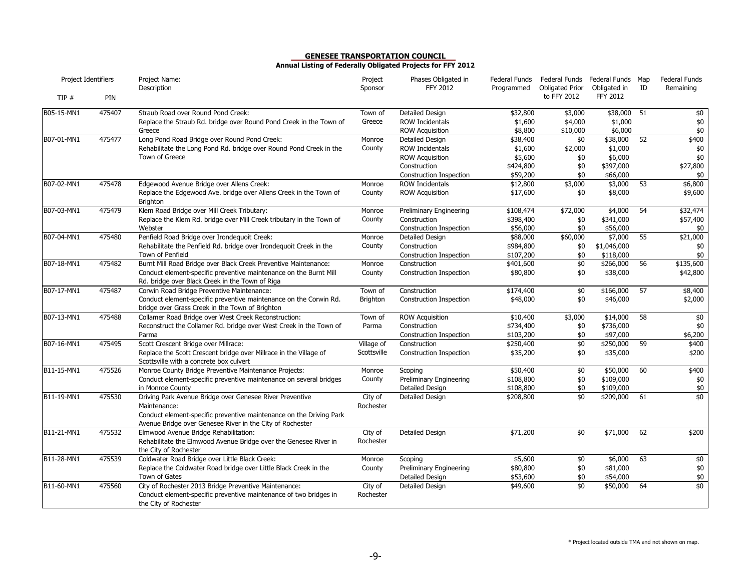| Project Identifiers |        | Project Name:<br>Description                                                                                                                                                                                 | Project<br>Sponsor        | Phases Obligated in<br>FFY 2012                                                                         | Federal Funds<br>Programmed                             | Federal Funds Federal Funds Map<br><b>Obligated Prior</b> | Obligated in                                            | ID              | <b>Federal Funds</b><br>Remaining        |
|---------------------|--------|--------------------------------------------------------------------------------------------------------------------------------------------------------------------------------------------------------------|---------------------------|---------------------------------------------------------------------------------------------------------|---------------------------------------------------------|-----------------------------------------------------------|---------------------------------------------------------|-----------------|------------------------------------------|
| TIP#                | PIN    |                                                                                                                                                                                                              |                           |                                                                                                         |                                                         | to FFY 2012                                               | <b>FFY 2012</b>                                         |                 |                                          |
| B05-15-MN1          | 475407 | Straub Road over Round Pond Creek:<br>Replace the Straub Rd. bridge over Round Pond Creek in the Town of<br>Greece                                                                                           | Town of<br>Greece         | Detailed Design<br><b>ROW Incidentals</b><br><b>ROW Acquisition</b>                                     | \$32,800<br>\$1,600<br>\$8,800                          | \$3,000<br>\$4,000<br>\$10,000                            | \$38,000<br>\$1,000<br>\$6,000                          | 51              | \$0<br>$$0$$<br>$$0$$                    |
| B07-01-MN1          | 475477 | Long Pond Road Bridge over Round Pond Creek:<br>Rehabilitate the Long Pond Rd. bridge over Round Pond Creek in the<br>Town of Greece                                                                         | Monroe<br>County          | Detailed Design<br>ROW Incidentals<br><b>ROW Acquisition</b><br>Construction<br>Construction Inspection | \$38,400<br>\$1,600<br>\$5,600<br>\$424,800<br>\$59,200 | \$0<br>\$2,000<br>\$0<br>\$0<br>\$0                       | \$38,000<br>\$1,000<br>\$6,000<br>\$397,000<br>\$66,000 | 52              | \$400<br>$\$0$<br>\$0<br>\$27,800<br>\$0 |
| B07-02-MN1          | 475478 | Edgewood Avenue Bridge over Allens Creek:<br>Replace the Edgewood Ave. bridge over Allens Creek in the Town of<br><b>Brighton</b>                                                                            | Monroe<br>County          | <b>ROW Incidentals</b><br><b>ROW Acquisition</b>                                                        | \$12,800<br>\$17,600                                    | \$3,000<br>\$0                                            | \$3,000<br>\$8,000                                      | 53              | \$6,800<br>\$9,600                       |
| B07-03-MN1          | 475479 | Klem Road Bridge over Mill Creek Tributary:<br>Replace the Klem Rd. bridge over Mill Creek tributary in the Town of<br>Webster                                                                               | Monroe<br>County          | Preliminary Engineering<br>Construction<br>Construction Inspection                                      | \$108,474<br>\$398,400<br>\$56,000                      | \$72,000<br>\$0<br>\$0                                    | \$4,000<br>\$341,000<br>\$56,000                        | $\overline{54}$ | \$32,474<br>\$57,400<br>\$0              |
| B07-04-MN1          | 475480 | Penfield Road Bridge over Irondequoit Creek:<br>Rehabilitate the Penfield Rd. bridge over Irondequoit Creek in the<br>Town of Penfield                                                                       | Monroe<br>County          | Detailed Design<br>Construction<br>Construction Inspection                                              | \$88,000<br>\$984,800<br>\$107,200                      | \$60,000<br>\$0<br>\$0                                    | \$7,000<br>\$1,046,000<br>\$118,000                     | 55              | \$21,000<br>\$0<br>\$0                   |
| B07-18-MN1          | 475482 | Burnt Mill Road Bridge over Black Creek Preventive Maintenance:<br>Conduct element-specific preventive maintenance on the Burnt Mill<br>Rd. bridge over Black Creek in the Town of Riga                      | Monroe<br>County          | Construction<br>Construction Inspection                                                                 | \$401,600<br>\$80,800                                   | \$0<br>\$0                                                | \$266,000<br>\$38,000                                   | 56              | \$135,600<br>\$42,800                    |
| B07-17-MN1          | 475487 | Corwin Road Bridge Preventive Maintenance:<br>Conduct element-specific preventive maintenance on the Corwin Rd.<br>bridge over Grass Creek in the Town of Brighton                                           | Town of<br>Brighton       | Construction<br>Construction Inspection                                                                 | \$174,400<br>\$48,000                                   | \$0<br>\$0                                                | \$166,000<br>\$46,000                                   | 57              | \$8,400<br>\$2,000                       |
| B07-13-MN1          | 475488 | Collamer Road Bridge over West Creek Reconstruction:<br>Reconstruct the Collamer Rd. bridge over West Creek in the Town of<br>Parma                                                                          | Town of<br>Parma          | <b>ROW Acquisition</b><br>Construction<br>Construction Inspection                                       | \$10,400<br>\$734,400<br>\$103,200                      | \$3,000<br>\$0<br>\$0                                     | \$14,000<br>\$736,000<br>\$97,000                       | 58              | $\frac{1}{2}$<br>\$0<br>\$6,200          |
| B07-16-MN1          | 475495 | Scott Crescent Bridge over Millrace:<br>Replace the Scott Crescent bridge over Millrace in the Village of<br>Scottsville with a concrete box culvert                                                         | Village of<br>Scottsville | Construction<br>Construction Inspection                                                                 | \$250,400<br>\$35,200                                   | \$0<br>\$0                                                | \$250,000<br>\$35,000                                   | 59              | \$400<br>\$200                           |
| B11-15-MN1          | 475526 | Monroe County Bridge Preventive Maintenance Projects:<br>Conduct element-specific preventive maintenance on several bridges<br>in Monroe County                                                              | Monroe<br>County          | Scoping<br>Preliminary Engineering<br>Detailed Design                                                   | \$50,400<br>\$108,800<br>\$108,800                      | $\overline{50}$<br>\$0<br>\$0                             | \$50,000<br>\$109,000<br>\$109,000                      | 60              | \$400<br>\$0<br>$$0$                     |
| B11-19-MN1          | 475530 | Driving Park Avenue Bridge over Genesee River Preventive<br>Maintenance:<br>Conduct element-specific preventive maintenance on the Driving Park<br>Avenue Bridge over Genesee River in the City of Rochester | City of<br>Rochester      | Detailed Design                                                                                         | \$208,800                                               | \$0                                                       | \$209,000                                               | 61              | \$0                                      |
| B11-21-MN1          | 475532 | Elmwood Avenue Bridge Rehabilitation:<br>Rehabilitate the Elmwood Avenue Bridge over the Genesee River in<br>the City of Rochester                                                                           | City of<br>Rochester      | Detailed Design                                                                                         | \$71,200                                                | \$0                                                       | \$71,000                                                | 62              | \$200                                    |
| B11-28-MN1          | 475539 | Coldwater Road Bridge over Little Black Creek:<br>Replace the Coldwater Road bridge over Little Black Creek in the<br>Town of Gates                                                                          | Monroe<br>County          | Scoping<br><b>Preliminary Engineering</b><br>Detailed Design                                            | \$5,600<br>\$80,800<br>\$53,600                         | \$0<br>\$0<br>\$0                                         | \$6,000<br>\$81,000<br>\$54,000                         | 63              | \$0<br>$$0$$<br>$$0$                     |
| B11-60-MN1          | 475560 | City of Rochester 2013 Bridge Preventive Maintenance:<br>Conduct element-specific preventive maintenance of two bridges in<br>the City of Rochester                                                          | City of<br>Rochester      | Detailed Design                                                                                         | \$49,600                                                | \$0                                                       | \$50,000                                                | 64              | \$0                                      |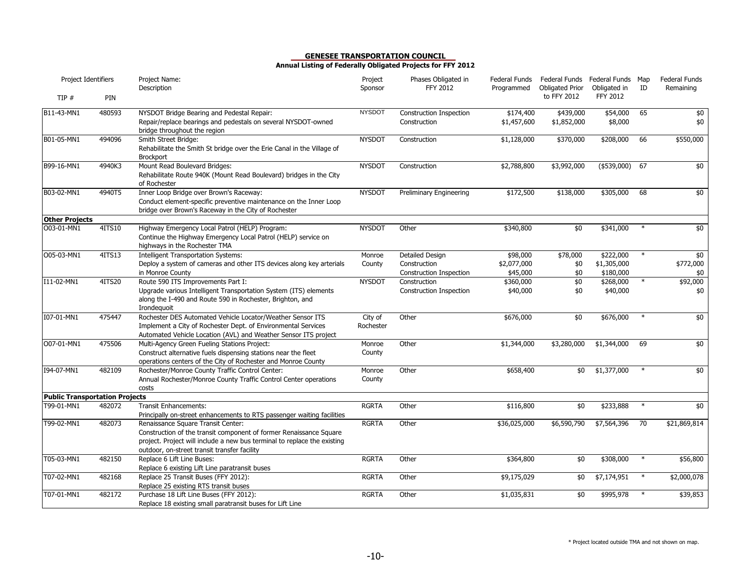| Project Identifiers                   |        | Project Name:<br>Description                                                                                                                                                                                                         | Project<br>Sponsor   | Phases Obligated in<br><b>FFY 2012</b>  | Federal Funds<br>Programmed | Federal Funds Federal Funds Map<br>Obligated Prior | Obligated in        | ID     | <b>Federal Funds</b><br>Remaining |
|---------------------------------------|--------|--------------------------------------------------------------------------------------------------------------------------------------------------------------------------------------------------------------------------------------|----------------------|-----------------------------------------|-----------------------------|----------------------------------------------------|---------------------|--------|-----------------------------------|
| TIP #                                 | PIN    |                                                                                                                                                                                                                                      |                      |                                         |                             | to FFY 2012                                        | <b>FFY 2012</b>     |        |                                   |
| B11-43-MN1                            | 480593 | NYSDOT Bridge Bearing and Pedestal Repair:<br>Repair/replace bearings and pedestals on several NYSDOT-owned<br>bridge throughout the region                                                                                          | <b>NYSDOT</b>        | Construction Inspection<br>Construction | \$174,400<br>\$1,457,600    | \$439,000<br>\$1,852,000                           | \$54,000<br>\$8,000 | 65     | \$0<br>\$0                        |
| B01-05-MN1                            | 494096 | Smith Street Bridge:<br>Rehabilitate the Smith St bridge over the Erie Canal in the Village of<br><b>Brockport</b>                                                                                                                   | <b>NYSDOT</b>        | Construction                            | \$1,128,000                 | \$370,000                                          | \$208,000           | 66     | \$550,000                         |
| B99-16-MN1                            | 4940K3 | Mount Read Boulevard Bridges:<br>Rehabilitate Route 940K (Mount Read Boulevard) bridges in the City<br>of Rochester                                                                                                                  | <b>NYSDOT</b>        | Construction                            | \$2,788,800                 | \$3,992,000                                        | $($ \$539,000)      | 67     | \$0                               |
| B03-02-MN1                            | 4940T5 | Inner Loop Bridge over Brown's Raceway:<br>Conduct element-specific preventive maintenance on the Inner Loop<br>bridge over Brown's Raceway in the City of Rochester                                                                 | <b>NYSDOT</b>        | Preliminary Engineering                 | \$172,500                   | \$138,000                                          | \$305,000           | 68     | \$0                               |
| <b>Other Projects</b>                 |        |                                                                                                                                                                                                                                      |                      |                                         |                             |                                                    |                     |        |                                   |
| O03-01-MN1                            | 4ITS10 | Highway Emergency Local Patrol (HELP) Program:<br>Continue the Highway Emergency Local Patrol (HELP) service on<br>highways in the Rochester TMA                                                                                     | <b>NYSDOT</b>        | Other                                   | \$340,800                   | \$0                                                | \$341,000           | $\ast$ | \$0                               |
| O05-03-MN1                            | 4ITS13 | <b>Intelligent Transportation Systems:</b>                                                                                                                                                                                           | Monroe               | Detailed Design                         | \$98,000                    | \$78,000                                           | \$222,000           | $\ast$ | \$0                               |
|                                       |        | Deploy a system of cameras and other ITS devices along key arterials                                                                                                                                                                 | County               | Construction                            | \$2,077,000                 | \$0                                                | \$1,305,000         |        | \$772,000                         |
|                                       |        | in Monroe County                                                                                                                                                                                                                     |                      | Construction Inspection                 | \$45,000                    | \$0                                                | \$180,000           |        | \$0                               |
| I11-02-MN1                            | 4ITS20 | Route 590 ITS Improvements Part I:                                                                                                                                                                                                   | <b>NYSDOT</b>        | Construction                            | \$360,000                   | \$0                                                | \$268,000           | $\ast$ | \$92,000                          |
|                                       |        | Upgrade various Intelligent Transportation System (ITS) elements<br>along the I-490 and Route 590 in Rochester, Brighton, and<br>Irondequoit                                                                                         |                      | Construction Inspection                 | \$40,000                    | \$0                                                | \$40,000            |        | \$0                               |
| I07-01-MN1                            | 475447 | Rochester DES Automated Vehicle Locator/Weather Sensor ITS<br>Implement a City of Rochester Dept. of Environmental Services<br>Automated Vehicle Location (AVL) and Weather Sensor ITS project                                       | City of<br>Rochester | Other                                   | \$676,000                   | \$0                                                | \$676,000           | $\ast$ | \$0                               |
| O07-01-MN1                            | 475506 | Multi-Agency Green Fueling Stations Project:<br>Construct alternative fuels dispensing stations near the fleet<br>operations centers of the City of Rochester and Monroe County                                                      | Monroe<br>County     | Other                                   | \$1,344,000                 | \$3,280,000                                        | \$1,344,000         | 69     | $\frac{1}{2}$                     |
| I94-07-MN1                            | 482109 | Rochester/Monroe County Traffic Control Center:<br>Annual Rochester/Monroe County Traffic Control Center operations<br>costs                                                                                                         | Monroe<br>County     | Other                                   | \$658,400                   | \$0                                                | \$1,377,000         | $\ast$ | $\frac{1}{2}$                     |
| <b>Public Transportation Projects</b> |        |                                                                                                                                                                                                                                      |                      |                                         |                             |                                                    |                     |        |                                   |
| T99-01-MN1                            | 482072 | <b>Transit Enhancements:</b><br>Principally on-street enhancements to RTS passenger waiting facilities                                                                                                                               | <b>RGRTA</b>         | Other                                   | \$116,800                   | \$0                                                | \$233,888           | $\ast$ | \$0                               |
| T99-02-MN1                            | 482073 | Renaissance Square Transit Center:<br>Construction of the transit component of former Renaissance Square<br>project. Project will include a new bus terminal to replace the existing<br>outdoor, on-street transit transfer facility | <b>RGRTA</b>         | Other                                   | \$36,025,000                | \$6,590,790                                        | \$7,564,396         | 70     | \$21,869,814                      |
| T05-03-MN1                            | 482150 | Replace 6 Lift Line Buses:<br>Replace 6 existing Lift Line paratransit buses                                                                                                                                                         | <b>RGRTA</b>         | Other                                   | \$364,800                   | \$0                                                | \$308,000           | $\ast$ | \$56,800                          |
| T07-02-MN1                            | 482168 | Replace 25 Transit Buses (FFY 2012):<br>Replace 25 existing RTS transit buses                                                                                                                                                        | <b>RGRTA</b>         | Other                                   | \$9,175,029                 | \$0                                                | \$7,174,951         | $\ast$ | \$2,000,078                       |
| T07-01-MN1                            | 482172 | Purchase 18 Lift Line Buses (FFY 2012):<br>Replace 18 existing small paratransit buses for Lift Line                                                                                                                                 | <b>RGRTA</b>         | Other                                   | \$1,035,831                 | \$0                                                | \$995,978           | $\ast$ | \$39,853                          |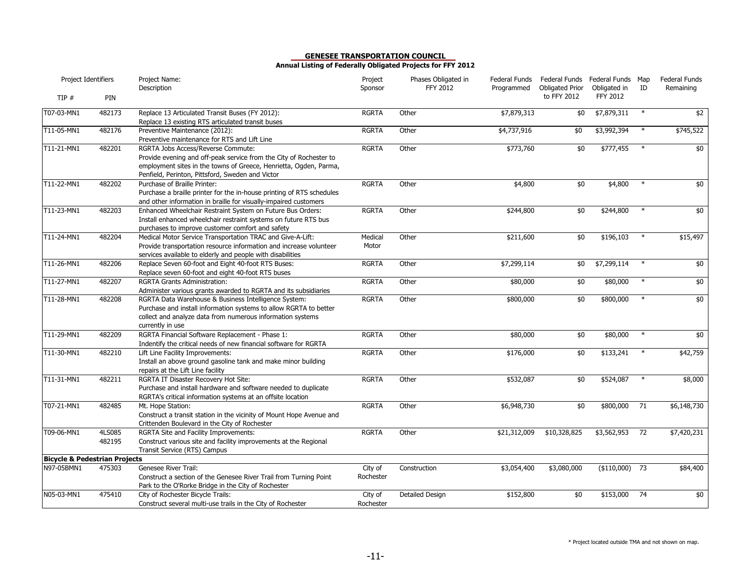| Project Identifiers                      |                  | Project Name:<br>Description                                                                                                                                                                                                      | Project<br>Sponsor   | Phases Obligated in<br><b>FFY 2012</b> | Federal Funds<br>Programmed | Federal Funds Federal Funds Map<br><b>Obligated Prior</b> | Obligated in    | ID     | <b>Federal Funds</b><br>Remaining |
|------------------------------------------|------------------|-----------------------------------------------------------------------------------------------------------------------------------------------------------------------------------------------------------------------------------|----------------------|----------------------------------------|-----------------------------|-----------------------------------------------------------|-----------------|--------|-----------------------------------|
| TIP#                                     | PIN              |                                                                                                                                                                                                                                   |                      |                                        |                             | to FFY 2012                                               | <b>FFY 2012</b> |        |                                   |
| T07-03-MN1                               | 482173           | Replace 13 Articulated Transit Buses (FY 2012):<br>Replace 13 existing RTS articulated transit buses                                                                                                                              | <b>RGRTA</b>         | Other                                  | \$7,879,313                 | \$0                                                       | \$7,879,311     | $\ast$ | $\overline{52}$                   |
| T11-05-MN1                               | 482176           | Preventive Maintenance (2012):<br>Preventive maintenance for RTS and Lift Line                                                                                                                                                    | <b>RGRTA</b>         | Other                                  | \$4,737,916                 | \$0                                                       | \$3,992,394     | $\ast$ | \$745,522                         |
| T11-21-MN1                               | 482201           | RGRTA Jobs Access/Reverse Commute:<br>Provide evening and off-peak service from the City of Rochester to<br>employment sites in the towns of Greece, Henrietta, Ogden, Parma,<br>Penfield, Perinton, Pittsford, Sweden and Victor | <b>RGRTA</b>         | Other                                  | \$773,760                   | \$0                                                       | \$777,455       | $\ast$ | \$0                               |
| T11-22-MN1                               | 482202           | Purchase of Braille Printer:<br>Purchase a braille printer for the in-house printing of RTS schedules<br>and other information in braille for visually-impaired customers                                                         | <b>RGRTA</b>         | Other                                  | \$4,800                     | \$0                                                       | \$4,800         | $\ast$ | \$0                               |
| T11-23-MN1                               | 482203           | Enhanced Wheelchair Restraint System on Future Bus Orders:<br>Install enhanced wheelchair restraint systems on future RTS bus<br>purchases to improve customer comfort and safety                                                 | <b>RGRTA</b>         | Other                                  | \$244,800                   | \$0                                                       | \$244,800       | $\ast$ | \$0                               |
| T11-24-MN1                               | 482204           | Medical Motor Service Transportation TRAC and Give-A-Lift:<br>Provide transportation resource information and increase volunteer<br>services available to elderly and people with disabilities                                    | Medical<br>Motor     | Other                                  | \$211,600                   | \$0                                                       | \$196,103       | $\ast$ | \$15,497                          |
| T11-26-MN1                               | 482206           | Replace Seven 60-foot and Eight 40-foot RTS Buses:<br>Replace seven 60-foot and eight 40-foot RTS buses                                                                                                                           | <b>RGRTA</b>         | Other                                  | \$7,299,114                 | \$0                                                       | \$7,299,114     | $\ast$ | \$0                               |
| T11-27-MN1                               | 482207           | <b>RGRTA Grants Administration:</b><br>Administer various grants awarded to RGRTA and its subsidiaries                                                                                                                            | <b>RGRTA</b>         | Other                                  | \$80,000                    | \$0                                                       | \$80,000        | $\ast$ | $\frac{1}{2}$                     |
| T11-28-MN1                               | 482208           | RGRTA Data Warehouse & Business Intelligence System:<br>Purchase and install information systems to allow RGRTA to better<br>collect and analyze data from numerous information systems<br>currently in use                       | <b>RGRTA</b>         | Other                                  | \$800,000                   | \$0                                                       | \$800,000       | $\ast$ | \$0                               |
| T11-29-MN1                               | 482209           | RGRTA Financial Software Replacement - Phase 1:<br>Indentify the critical needs of new financial software for RGRTA                                                                                                               | <b>RGRTA</b>         | Other                                  | \$80,000                    | \$0                                                       | \$80,000        | $\ast$ | \$0                               |
| T11-30-MN1                               | 482210           | Lift Line Facility Improvements:<br>Install an above ground gasoline tank and make minor building<br>repairs at the Lift Line facility                                                                                            | <b>RGRTA</b>         | Other                                  | \$176,000                   | \$0                                                       | \$133,241       | $\ast$ | \$42,759                          |
| T11-31-MN1                               | 482211           | RGRTA IT Disaster Recovery Hot Site:<br>Purchase and install hardware and software needed to duplicate<br>RGRTA's critical information systems at an offsite location                                                             | <b>RGRTA</b>         | Other                                  | \$532,087                   | \$0                                                       | \$524,087       | $\ast$ | \$8,000                           |
| T07-21-MN1                               | 482485           | Mt. Hope Station:<br>Construct a transit station in the vicinity of Mount Hope Avenue and<br>Crittenden Boulevard in the City of Rochester                                                                                        | <b>RGRTA</b>         | Other                                  | \$6,948,730                 | \$0                                                       | \$800,000       | 71     | \$6,148,730                       |
| T09-06-MN1                               | 4LS085<br>482195 | RGRTA Site and Facility Improvements:<br>Construct various site and facility improvements at the Regional<br>Transit Service (RTS) Campus                                                                                         | <b>RGRTA</b>         | Other                                  | \$21,312,009                | \$10,328,825                                              | \$3,562,953     | 72     | \$7,420,231                       |
| <b>Bicycle &amp; Pedestrian Projects</b> |                  |                                                                                                                                                                                                                                   |                      |                                        |                             |                                                           |                 |        |                                   |
| N97-05BMN1                               | 475303           | Genesee River Trail:<br>Construct a section of the Genesee River Trail from Turning Point<br>Park to the O'Rorke Bridge in the City of Rochester                                                                                  | City of<br>Rochester | Construction                           | \$3,054,400                 | \$3,080,000                                               | ( \$110,000)    | 73     | \$84,400                          |
| N05-03-MN1                               | 475410           | City of Rochester Bicycle Trails:<br>Construct several multi-use trails in the City of Rochester                                                                                                                                  | City of<br>Rochester | Detailed Design                        | \$152,800                   | \$0                                                       | \$153,000       | 74     | \$0                               |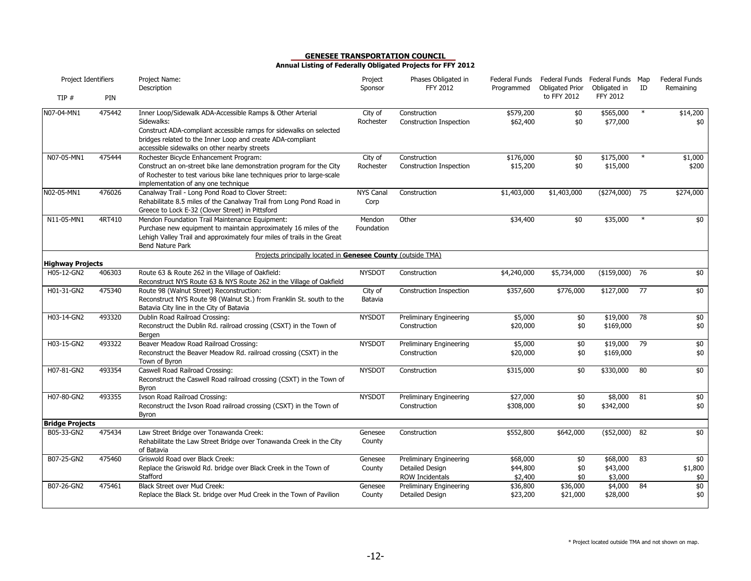| Project Identifiers     |        | Project Name:<br>Description                                                                                                                                                                                                                                | Project<br>Sponsor       | Phases Obligated in<br><b>FFY 2012</b>                               | Federal Funds<br>Programmed     | <b>Obligated Prior</b> | Federal Funds Federal Funds Map<br>Obligated in | ID     | <b>Federal Funds</b><br>Remaining |
|-------------------------|--------|-------------------------------------------------------------------------------------------------------------------------------------------------------------------------------------------------------------------------------------------------------------|--------------------------|----------------------------------------------------------------------|---------------------------------|------------------------|-------------------------------------------------|--------|-----------------------------------|
| TIP#                    | PIN    |                                                                                                                                                                                                                                                             |                          |                                                                      |                                 | to FFY 2012            | <b>FFY 2012</b>                                 |        |                                   |
| N07-04-MN1              | 475442 | Inner Loop/Sidewalk ADA-Accessible Ramps & Other Arterial<br>Sidewalks:<br>Construct ADA-compliant accessible ramps for sidewalks on selected<br>bridges related to the Inner Loop and create ADA-compliant<br>accessible sidewalks on other nearby streets | City of<br>Rochester     | Construction<br>Construction Inspection                              | \$579,200<br>\$62,400           | \$0<br>\$0             | \$565,000<br>\$77,000                           | $\ast$ | \$14,200<br>\$0                   |
| N07-05-MN1              | 475444 | Rochester Bicycle Enhancement Program:<br>Construct an on-street bike lane demonstration program for the City<br>of Rochester to test various bike lane techniques prior to large-scale<br>implementation of any one technique                              | City of<br>Rochester     | Construction<br>Construction Inspection                              | \$176,000<br>\$15,200           | $\overline{50}$<br>\$0 | \$175,000<br>\$15,000                           | $\ast$ | \$1,000<br>\$200                  |
| N02-05-MN1              | 476026 | Canalway Trail - Long Pond Road to Clover Street:<br>Rehabilitate 8.5 miles of the Canalway Trail from Long Pond Road in<br>Greece to Lock E-32 (Clover Street) in Pittsford                                                                                | <b>NYS Canal</b><br>Corp | Construction                                                         | \$1,403,000                     | \$1,403,000            | $(*274,000)$                                    | 75     | \$274,000                         |
| N11-05-MN1              | 4RT410 | Mendon Foundation Trail Maintenance Equipment:<br>Purchase new equipment to maintain approximately 16 miles of the<br>Lehigh Valley Trail and approximately four miles of trails in the Great<br>Bend Nature Park                                           | Mendon<br>Foundation     | Other                                                                | \$34,400                        | $\overline{50}$        | \$35,000                                        | $\ast$ | $\overline{50}$                   |
| <b>Highway Projects</b> |        | Projects principally located in Genesee County (outside TMA)                                                                                                                                                                                                |                          |                                                                      |                                 |                        |                                                 |        |                                   |
| H05-12-GN2              | 406303 | Route 63 & Route 262 in the Village of Oakfield:<br>Reconstruct NYS Route 63 & NYS Route 262 in the Village of Oakfield                                                                                                                                     | <b>NYSDOT</b>            | Construction                                                         | \$4,240,000                     | \$5,734,000            | (\$159,000)                                     | 76     | \$0                               |
| H01-31-GN2              | 475340 | Route 98 (Walnut Street) Reconstruction:<br>Reconstruct NYS Route 98 (Walnut St.) from Franklin St. south to the<br>Batavia City line in the City of Batavia                                                                                                | City of<br>Batavia       | Construction Inspection                                              | \$357,600                       | \$776,000              | \$127,000                                       | 77     | \$0                               |
| H03-14-GN2              | 493320 | Dublin Road Railroad Crossing:<br>Reconstruct the Dublin Rd. railroad crossing (CSXT) in the Town of<br>Bergen                                                                                                                                              | <b>NYSDOT</b>            | <b>Preliminary Engineering</b><br>Construction                       | \$5,000<br>\$20,000             | \$0<br>\$0             | \$19,000<br>\$169,000                           | 78     | \$0<br>$$0$$                      |
| H03-15-GN2              | 493322 | Beaver Meadow Road Railroad Crossing:<br>Reconstruct the Beaver Meadow Rd. railroad crossing (CSXT) in the<br>Town of Byron                                                                                                                                 | <b>NYSDOT</b>            | Preliminary Engineering<br>Construction                              | \$5,000<br>\$20,000             | $\overline{50}$<br>\$0 | \$19,000<br>\$169,000                           | 79     | $$0$<br>\$0                       |
| H07-81-GN2              | 493354 | Caswell Road Railroad Crossing:<br>Reconstruct the Caswell Road railroad crossing (CSXT) in the Town of<br>Byron                                                                                                                                            | <b>NYSDOT</b>            | Construction                                                         | \$315,000                       | $\overline{50}$        | \$330,000                                       | 80     | \$0                               |
| H07-80-GN2              | 493355 | Ivson Road Railroad Crossing:<br>Reconstruct the Ivson Road railroad crossing (CSXT) in the Town of<br>Byron                                                                                                                                                | <b>NYSDOT</b>            | <b>Preliminary Engineering</b><br>Construction                       | \$27,000<br>\$308,000           | \$0<br>\$0             | \$8,000<br>\$342,000                            | 81     | \$0<br>$$0$$                      |
| <b>Bridge Projects</b>  |        |                                                                                                                                                                                                                                                             |                          |                                                                      |                                 |                        |                                                 |        |                                   |
| B05-33-GN2              | 475434 | Law Street Bridge over Tonawanda Creek:<br>Rehabilitate the Law Street Bridge over Tonawanda Creek in the City<br>of Batavia                                                                                                                                | Genesee<br>County        | Construction                                                         | \$552,800                       | \$642,000              | (\$52,000)                                      | 82     | \$0                               |
| B07-25-GN2              | 475460 | Griswold Road over Black Creek:<br>Replace the Griswold Rd. bridge over Black Creek in the Town of<br>Stafford                                                                                                                                              | Genesee<br>County        | Preliminary Engineering<br><b>Detailed Design</b><br>ROW Incidentals | \$68,000<br>\$44,800<br>\$2,400 | \$0<br>\$0<br>\$0      | \$68,000<br>\$43,000<br>\$3,000                 | 83     | \$0<br>\$1,800<br>\$0             |
| B07-26-GN2              | 475461 | Black Street over Mud Creek:<br>Replace the Black St. bridge over Mud Creek in the Town of Pavilion                                                                                                                                                         | Genesee<br>County        | <b>Preliminary Engineering</b><br>Detailed Design                    | \$36,800<br>\$23,200            | \$36,000<br>\$21,000   | \$4,000<br>\$28,000                             | 84     | \$0<br>$$0$$                      |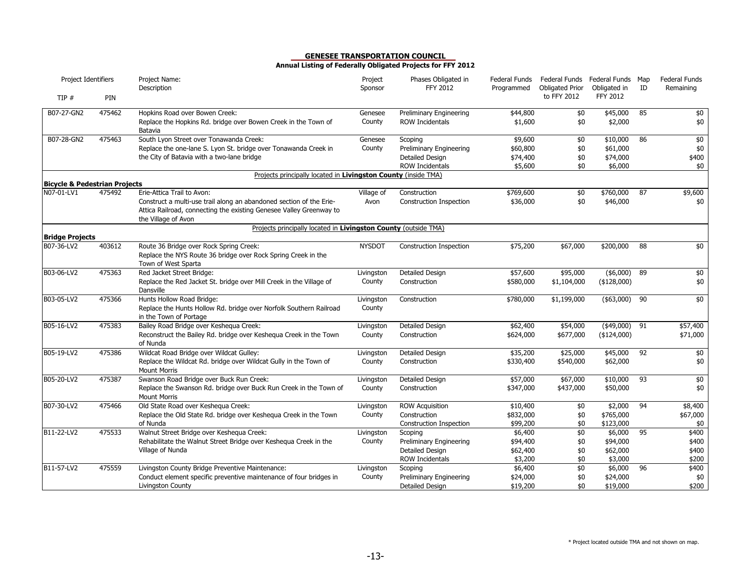| Project Identifiers                      |        | Project Name:<br>Description                                                                                                                                                                    | Project<br>Sponsor   | Phases Obligated in<br><b>FFY 2012</b>                                                 | Federal Funds<br>Programmed                | Federal Funds Federal Funds Map<br><b>Obligated Prior</b> | Obligated in                                | ID              | <b>Federal Funds</b><br>Remaining     |
|------------------------------------------|--------|-------------------------------------------------------------------------------------------------------------------------------------------------------------------------------------------------|----------------------|----------------------------------------------------------------------------------------|--------------------------------------------|-----------------------------------------------------------|---------------------------------------------|-----------------|---------------------------------------|
| TIP #                                    | PIN    |                                                                                                                                                                                                 |                      |                                                                                        |                                            | to FFY 2012                                               | <b>FFY 2012</b>                             |                 |                                       |
| B07-27-GN2                               | 475462 | Hopkins Road over Bowen Creek:<br>Replace the Hopkins Rd. bridge over Bowen Creek in the Town of<br>Batavia                                                                                     | Genesee<br>County    | Preliminary Engineering<br><b>ROW Incidentals</b>                                      | \$44,800<br>\$1,600                        | \$0<br>\$0                                                | \$45,000<br>\$2,000                         | 85              | \$0<br>\$0                            |
| B07-28-GN2                               | 475463 | South Lyon Street over Tonawanda Creek:<br>Replace the one-lane S. Lyon St. bridge over Tonawanda Creek in<br>the City of Batavia with a two-lane bridge                                        | Genesee<br>County    | Scoping<br><b>Preliminary Engineering</b><br>Detailed Design<br><b>ROW Incidentals</b> | \$9,600<br>\$60,800<br>\$74,400<br>\$5,600 | \$0<br>\$0<br>\$0<br>\$0                                  | \$10,000<br>\$61,000<br>\$74,000<br>\$6,000 | 86              | $\frac{1}{2}$<br>$$0$<br>\$400<br>\$0 |
|                                          |        | Projects principally located in Livingston County (inside TMA)                                                                                                                                  |                      |                                                                                        |                                            |                                                           |                                             |                 |                                       |
| <b>Bicycle &amp; Pedestrian Projects</b> |        |                                                                                                                                                                                                 |                      |                                                                                        |                                            |                                                           |                                             |                 |                                       |
| N07-01-LV1                               | 475492 | Erie-Attica Trail to Avon:<br>Construct a multi-use trail along an abandoned section of the Erie-<br>Attica Railroad, connecting the existing Genesee Valley Greenway to<br>the Village of Avon | Village of<br>Avon   | Construction<br>Construction Inspection                                                | \$769,600<br>\$36,000                      | \$0<br>\$0                                                | \$760,000<br>\$46,000                       | 87              | \$9,600<br>\$0                        |
|                                          |        | Projects principally located in Livingston County (outside TMA)                                                                                                                                 |                      |                                                                                        |                                            |                                                           |                                             |                 |                                       |
| <b>Bridge Projects</b><br>B07-36-LV2     | 403612 | Route 36 Bridge over Rock Spring Creek:<br>Replace the NYS Route 36 bridge over Rock Spring Creek in the<br>Town of West Sparta                                                                 | <b>NYSDOT</b>        | <b>Construction Inspection</b>                                                         | \$75,200                                   | \$67,000                                                  | \$200,000                                   | 88              | \$0                                   |
| B03-06-LV2                               | 475363 | Red Jacket Street Bridge:<br>Replace the Red Jacket St. bridge over Mill Creek in the Village of<br>Dansville                                                                                   | Livingston<br>County | Detailed Design<br>Construction                                                        | \$57,600<br>\$580,000                      | \$95,000<br>\$1,104,000                                   | ( \$6,000)<br>( \$128,000)                  | 89              | $$0$<br>\$0                           |
| B03-05-LV2                               | 475366 | Hunts Hollow Road Bridge:<br>Replace the Hunts Hollow Rd. bridge over Norfolk Southern Railroad<br>in the Town of Portage                                                                       | Livingston<br>County | Construction                                                                           | \$780,000                                  | \$1,199,000                                               | (\$63,000)                                  | 90              | \$0                                   |
| B05-16-LV2                               | 475383 | Bailey Road Bridge over Keshegua Creek:<br>Reconstruct the Bailey Rd. bridge over Keshequa Creek in the Town<br>of Nunda                                                                        | Livingston<br>County | Detailed Design<br>Construction                                                        | \$62,400<br>\$624,000                      | \$54,000<br>\$677,000                                     | $($ \$49,000)<br>(\$124,000)                | 91              | \$57,400<br>\$71,000                  |
| B05-19-LV2                               | 475386 | Wildcat Road Bridge over Wildcat Gulley:<br>Replace the Wildcat Rd. bridge over Wildcat Gully in the Town of<br><b>Mount Morris</b>                                                             | Livingston<br>County | Detailed Design<br>Construction                                                        | \$35,200<br>\$330,400                      | \$25,000<br>\$540,000                                     | \$45,000<br>\$62,000                        | 92              | $\frac{1}{2}$<br>\$0                  |
| B05-20-LV2                               | 475387 | Swanson Road Bridge over Buck Run Creek:<br>Replace the Swanson Rd. bridge over Buck Run Creek in the Town of<br><b>Mount Morris</b>                                                            | Livingston<br>County | Detailed Design<br>Construction                                                        | \$57,000<br>\$347,000                      | \$67,000<br>\$437,000                                     | \$10,000<br>\$50,000                        | $\overline{93}$ | \$0<br>\$0                            |
| B07-30-LV2                               | 475466 | Old State Road over Keshequa Creek:<br>Replace the Old State Rd. bridge over Keshequa Creek in the Town<br>of Nunda                                                                             | Livingston<br>County | ROW Acquisition<br>Construction<br>Construction Inspection                             | \$10,400<br>\$832,000<br>\$99,200          | \$0<br>\$0<br>\$0                                         | \$2,000<br>\$765,000<br>\$123,000           | 94              | \$8,400<br>\$67,000<br>\$0            |
| B11-22-LV2                               | 475533 | Walnut Street Bridge over Keshequa Creek:<br>Rehabilitate the Walnut Street Bridge over Keshegua Creek in the<br>Village of Nunda                                                               | Livingston<br>County | Scoping<br>Preliminary Engineering<br><b>Detailed Design</b><br><b>ROW Incidentals</b> | \$6,400<br>\$94,400<br>\$62,400<br>\$3,200 | \$0<br>\$0<br>\$0<br>\$0                                  | \$6,000<br>\$94,000<br>\$62,000<br>\$3,000  | 95              | \$400<br>\$400<br>\$400<br>\$200      |
| B11-57-LV2                               | 475559 | Livingston County Bridge Preventive Maintenance:<br>Conduct element specific preventive maintenance of four bridges in<br>Livingston County                                                     | Livingston<br>County | Scoping<br><b>Preliminary Engineering</b><br>Detailed Design                           | \$6,400<br>\$24,000<br>\$19,200            | \$0<br>\$0<br>\$0                                         | \$6,000<br>\$24,000<br>\$19,000             | 96              | \$400<br>\$0<br>\$200                 |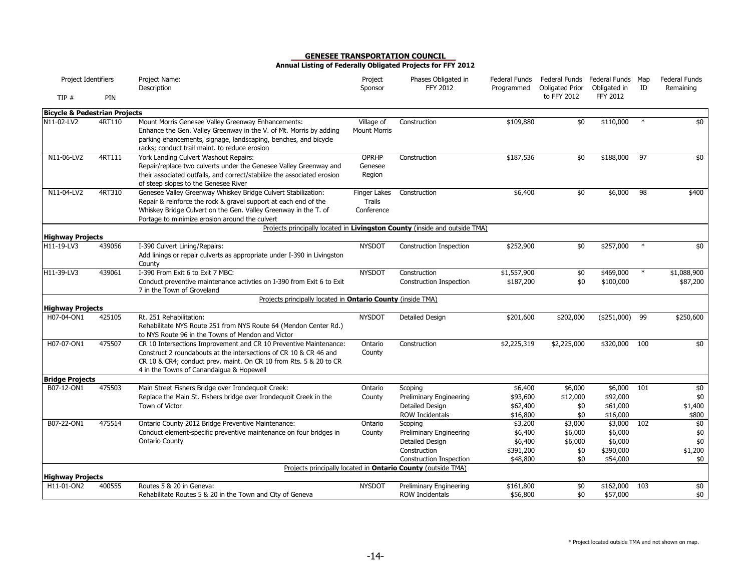| Project Identifiers                      |        | Project Name:<br>Description                                                                                                                                                                                                                          | Project<br>Sponsor                          | Phases Obligated in<br>FFY 2012                                                       | Federal Funds<br>Programmed                 | <b>Obligated Prior</b>            | Federal Funds Federal Funds Map<br>Obligated in | ID     | <b>Federal Funds</b><br>Remaining |
|------------------------------------------|--------|-------------------------------------------------------------------------------------------------------------------------------------------------------------------------------------------------------------------------------------------------------|---------------------------------------------|---------------------------------------------------------------------------------------|---------------------------------------------|-----------------------------------|-------------------------------------------------|--------|-----------------------------------|
| TIP#                                     | PIN    |                                                                                                                                                                                                                                                       |                                             |                                                                                       |                                             | to FFY 2012                       | <b>FFY 2012</b>                                 |        |                                   |
| <b>Bicycle &amp; Pedestrian Projects</b> |        |                                                                                                                                                                                                                                                       |                                             |                                                                                       |                                             |                                   |                                                 |        |                                   |
| N11-02-LV2                               | 4RT110 | Mount Morris Genesee Valley Greenway Enhancements:<br>Enhance the Gen. Valley Greenway in the V. of Mt. Morris by adding<br>parking ehancements, signage, landscaping, benches, and bicycle<br>racks; conduct trail maint. to reduce erosion          | Village of<br><b>Mount Morris</b>           | Construction                                                                          | \$109,880                                   | \$0                               | \$110,000                                       |        | \$0                               |
| N11-06-LV2                               | 4RT111 | York Landing Culvert Washout Repairs:<br>Repair/replace two culverts under the Genesee Valley Greenway and<br>their associated outfalls, and correct/stabilize the associated erosion<br>of steep slopes to the Genesee River                         | <b>OPRHP</b><br>Genesee<br>Region           | Construction                                                                          | \$187,536                                   | \$0                               | \$188,000                                       | 97     | \$0                               |
| N11-04-LV2                               | 4RT310 | Genesee Valley Greenway Whiskey Bridge Culvert Stabilization:<br>Repair & reinforce the rock & gravel support at each end of the<br>Whiskey Bridge Culvert on the Gen. Valley Greenway in the T. of<br>Portage to minimize erosion around the culvert | Finger Lakes<br><b>Trails</b><br>Conference | Construction                                                                          | \$6,400                                     | \$0                               | \$6,000                                         | 98     | \$400                             |
|                                          |        | Projects principally located in Livingston County (inside and outside TMA)                                                                                                                                                                            |                                             |                                                                                       |                                             |                                   |                                                 |        |                                   |
| <b>Highway Projects</b>                  |        |                                                                                                                                                                                                                                                       |                                             |                                                                                       |                                             |                                   |                                                 | $\ast$ |                                   |
| H11-19-LV3                               | 439056 | I-390 Culvert Lining/Repairs:<br>Add linings or repair culverts as appropriate under I-390 in Livingston<br>County                                                                                                                                    | <b>NYSDOT</b>                               | Construction Inspection                                                               | \$252,900                                   | \$0                               | \$257,000                                       |        | \$0                               |
| H11-39-LV3                               | 439061 | I-390 From Exit 6 to Exit 7 MBC:                                                                                                                                                                                                                      | <b>NYSDOT</b>                               | Construction                                                                          | \$1,557,900                                 | \$0                               | \$469,000                                       | $\ast$ | \$1,088,900                       |
|                                          |        | Conduct preventive maintenance activties on I-390 from Exit 6 to Exit<br>7 in the Town of Groveland                                                                                                                                                   |                                             | Construction Inspection                                                               | \$187,200                                   | \$0                               | \$100,000                                       |        | \$87,200                          |
|                                          |        | Projects principally located in <b>Ontario County</b> (inside TMA)                                                                                                                                                                                    |                                             |                                                                                       |                                             |                                   |                                                 |        |                                   |
| <b>Highway Projects</b>                  |        |                                                                                                                                                                                                                                                       |                                             |                                                                                       |                                             |                                   |                                                 |        |                                   |
| H07-04-ON1                               | 425105 | Rt. 251 Rehabilitation:<br>Rehabilitate NYS Route 251 from NYS Route 64 (Mendon Center Rd.)<br>to NYS Route 96 in the Towns of Mendon and Victor                                                                                                      | <b>NYSDOT</b>                               | Detailed Design                                                                       | \$201,600                                   | \$202,000                         | (\$251,000)                                     | 99     | \$250,600                         |
| H07-07-ON1                               | 475507 | CR 10 Intersections Improvement and CR 10 Preventive Maintenance:                                                                                                                                                                                     | Ontario                                     | Construction                                                                          | \$2,225,319                                 | \$2,225,000                       | \$320,000                                       | 100    | $\frac{1}{2}$                     |
|                                          |        | Construct 2 roundabouts at the intersections of CR 10 & CR 46 and<br>CR 10 & CR4; conduct prev. maint. On CR 10 from Rts. 5 & 20 to CR<br>4 in the Towns of Canandaigua & Hopewell                                                                    | County                                      |                                                                                       |                                             |                                   |                                                 |        |                                   |
| <b>Bridge Projects</b>                   |        |                                                                                                                                                                                                                                                       |                                             |                                                                                       |                                             |                                   |                                                 |        |                                   |
| B07-12-ON1                               | 475503 | Main Street Fishers Bridge over Irondequoit Creek:<br>Replace the Main St. Fishers bridge over Irondequoit Creek in the<br>Town of Victor                                                                                                             | Ontario<br>County                           | Scoping<br><b>Preliminary Engineering</b><br>Detailed Design<br>ROW Incidentals       | \$6,400<br>\$93,600<br>\$62,400<br>\$16,800 | \$6,000<br>\$12,000<br>\$0<br>\$0 | \$6,000<br>\$92,000<br>\$61,000<br>\$16,000     | 101    | \$0<br>\$0<br>\$1,400<br>\$800    |
| B07-22-ON1                               | 475514 | Ontario County 2012 Bridge Preventive Maintenance:                                                                                                                                                                                                    | Ontario                                     | Scoping                                                                               | \$3,200                                     | \$3,000                           | \$3,000                                         | 102    | \$0                               |
|                                          |        | Conduct element-specific preventive maintenance on four bridges in<br><b>Ontario County</b>                                                                                                                                                           | County                                      | Preliminary Engineering<br>Detailed Design<br>Construction<br>Construction Inspection | \$6,400<br>\$6,400<br>\$391,200<br>\$48,800 | \$6,000<br>\$6,000<br>\$0<br>\$0  | \$6,000<br>\$6,000<br>\$390,000<br>\$54,000     |        | $$0$<br>\$0<br>\$1,200<br>\$0     |
|                                          |        |                                                                                                                                                                                                                                                       |                                             | Projects principally located in <b>Ontario County</b> (outside TMA)                   |                                             |                                   |                                                 |        |                                   |
| <b>Highway Projects</b>                  |        |                                                                                                                                                                                                                                                       |                                             |                                                                                       |                                             |                                   |                                                 |        |                                   |
| H11-01-ON2                               | 400555 | Routes 5 & 20 in Geneva:<br>Rehabilitate Routes 5 & 20 in the Town and City of Geneva                                                                                                                                                                 | <b>NYSDOT</b>                               | Preliminary Engineering<br>ROW Incidentals                                            | \$161,800<br>\$56,800                       | \$0<br>\$0                        | \$162,000<br>\$57,000                           | 103    | \$0<br>\$0                        |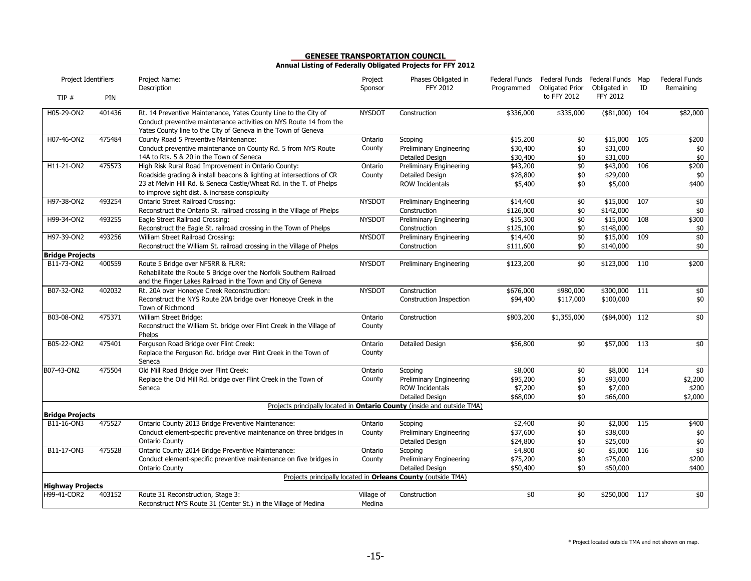| Project Identifiers     |        | Project Name:<br>Description                                                                                                                                                                           | Project<br>Sponsor   | Phases Obligated in<br><b>FFY 2012</b>                                         | Federal Funds<br>Programmed | Federal Funds Federal Funds Map<br>Obligated Prior | Obligated in    | ID  | <b>Federal Funds</b><br>Remaining |
|-------------------------|--------|--------------------------------------------------------------------------------------------------------------------------------------------------------------------------------------------------------|----------------------|--------------------------------------------------------------------------------|-----------------------------|----------------------------------------------------|-----------------|-----|-----------------------------------|
| TIP#                    | PIN    |                                                                                                                                                                                                        |                      |                                                                                |                             | to FFY 2012                                        | <b>FFY 2012</b> |     |                                   |
| H05-29-ON2              | 401436 | Rt. 14 Preventive Maintenance, Yates County Line to the City of<br>Conduct preventive maintenance activities on NYS Route 14 from the<br>Yates County line to the City of Geneva in the Town of Geneva | <b>NYSDOT</b>        | Construction                                                                   | \$336,000                   | \$335,000                                          | (\$1,000)       | 104 | \$82,000                          |
| H07-46-ON2              | 475484 | County Road 5 Preventive Maintenance:                                                                                                                                                                  | Ontario              | Scoping                                                                        | \$15,200                    | $\overline{50}$                                    | \$15,000        | 105 | \$200                             |
|                         |        | Conduct preventive maintenance on County Rd. 5 from NYS Route                                                                                                                                          | County               | Preliminary Engineering                                                        | \$30,400                    | \$0                                                | \$31,000        |     | \$0                               |
|                         |        | 14A to Rts. 5 & 20 in the Town of Seneca                                                                                                                                                               |                      | Detailed Design                                                                | \$30,400                    | \$0                                                | \$31,000        |     | $$0$$                             |
| H11-21-ON2              | 475573 | High Risk Rural Road Improvement in Ontario County:                                                                                                                                                    | Ontario              | Preliminary Engineering                                                        | \$43,200                    | $\overline{50}$                                    | \$43,000        | 106 | \$200                             |
|                         |        | Roadside grading & install beacons & lighting at intersections of CR                                                                                                                                   | County               | Detailed Design                                                                | \$28,800                    | \$0                                                | \$29,000        |     | \$0                               |
|                         |        | 23 at Melvin Hill Rd. & Seneca Castle/Wheat Rd. in the T. of Phelps<br>to improve sight dist. & increase conspicuity                                                                                   |                      | <b>ROW Incidentals</b>                                                         | \$5,400                     | \$0                                                | \$5,000         |     | \$400                             |
| H97-38-ON2              | 493254 | Ontario Street Railroad Crossing:                                                                                                                                                                      | <b>NYSDOT</b>        | <b>Preliminary Engineering</b>                                                 | \$14,400                    | \$0                                                | \$15,000        | 107 | \$0                               |
|                         |        | Reconstruct the Ontario St. railroad crossing in the Village of Phelps                                                                                                                                 |                      | Construction                                                                   | \$126,000                   | \$0                                                | \$142,000       |     | \$0                               |
| H99-34-ON2              | 493255 | Eagle Street Railroad Crossing:                                                                                                                                                                        | <b>NYSDOT</b>        | <b>Preliminary Engineering</b>                                                 | \$15,300                    | \$0                                                | \$15,000        | 108 | \$300                             |
|                         |        | Reconstruct the Eagle St. railroad crossing in the Town of Phelps                                                                                                                                      |                      | Construction                                                                   | \$125,100                   | \$0                                                | \$148,000       |     | \$0                               |
| H97-39-ON2              | 493256 | William Street Railroad Crossing:                                                                                                                                                                      | <b>NYSDOT</b>        | Preliminary Engineering                                                        | \$14,400                    | \$0                                                | \$15,000        | 109 | \$0                               |
|                         |        | Reconstruct the William St. railroad crossing in the Village of Phelps                                                                                                                                 |                      | Construction                                                                   | \$111,600                   | \$0                                                | \$140,000       |     | \$0                               |
| <b>Bridge Projects</b>  |        |                                                                                                                                                                                                        |                      |                                                                                |                             |                                                    |                 |     |                                   |
| B11-73-ON2              | 400559 | Route 5 Bridge over NFSRR & FLRR:<br>Rehabilitate the Route 5 Bridge over the Norfolk Southern Railroad<br>and the Finger Lakes Railroad in the Town and City of Geneva                                | <b>NYSDOT</b>        | <b>Preliminary Engineering</b>                                                 | \$123,200                   | \$0                                                | \$123,000       | 110 | \$200                             |
| B07-32-ON2              | 402032 | Rt. 20A over Honeoye Creek Reconstruction:                                                                                                                                                             | <b>NYSDOT</b>        | Construction                                                                   | \$676,000                   | \$980,000                                          | \$300,000       | 111 | \$0                               |
|                         |        | Reconstruct the NYS Route 20A bridge over Honeoye Creek in the<br>Town of Richmond                                                                                                                     |                      | Construction Inspection                                                        | \$94,400                    | \$117,000                                          | \$100,000       |     | $$0$$                             |
| B03-08-ON2              | 475371 | William Street Bridge:<br>Reconstruct the William St. bridge over Flint Creek in the Village of<br>Phelps                                                                                              | Ontario<br>County    | Construction                                                                   | \$803,200                   | \$1,355,000                                        | $($84,000)$ 112 |     | \$0                               |
| B05-22-ON2              | 475401 | Ferguson Road Bridge over Flint Creek:                                                                                                                                                                 | Ontario              | <b>Detailed Design</b>                                                         | \$56,800                    | \$0                                                | \$57,000        | 113 | \$0                               |
|                         |        | Replace the Ferguson Rd. bridge over Flint Creek in the Town of<br>Seneca                                                                                                                              | County               |                                                                                |                             |                                                    |                 |     |                                   |
| B07-43-ON2              | 475504 | Old Mill Road Bridge over Flint Creek:                                                                                                                                                                 | Ontario              | Scoping                                                                        | \$8,000                     | \$0                                                | \$8,000         | 114 | \$0                               |
|                         |        | Replace the Old Mill Rd. bridge over Flint Creek in the Town of                                                                                                                                        | County               | Preliminary Engineering                                                        | \$95,200                    | \$0                                                | \$93,000        |     | \$2,200                           |
|                         |        | Seneca                                                                                                                                                                                                 |                      | <b>ROW Incidentals</b>                                                         | \$7,200                     | \$0                                                | \$7,000         |     | \$200                             |
|                         |        |                                                                                                                                                                                                        |                      | <b>Detailed Design</b>                                                         | \$68,000                    | \$0                                                | \$66,000        |     | \$2,000                           |
| <b>Bridge Projects</b>  |        |                                                                                                                                                                                                        |                      | Projects principally located in <b>Ontario County</b> (inside and outside TMA) |                             |                                                    |                 |     |                                   |
| B11-16-ON3              | 475527 | Ontario County 2013 Bridge Preventive Maintenance:                                                                                                                                                     | Ontario              | Scoping                                                                        | \$2,400                     | \$0                                                | \$2,000         | 115 | \$400                             |
|                         |        | Conduct element-specific preventive maintenance on three bridges in                                                                                                                                    | County               | Preliminary Engineering                                                        | \$37,600                    | \$0                                                | \$38,000        |     | \$0                               |
|                         |        | <b>Ontario County</b>                                                                                                                                                                                  |                      | Detailed Design                                                                | \$24,800                    | \$0                                                | \$25,000        |     | $$0$                              |
| B11-17-ON3              | 475528 | Ontario County 2014 Bridge Preventive Maintenance:                                                                                                                                                     | Ontario              | Scoping                                                                        | \$4,800                     | \$0                                                | \$5,000         | 116 | \$0                               |
|                         |        | Conduct element-specific preventive maintenance on five bridges in                                                                                                                                     | County               | Preliminary Engineering                                                        | \$75,200                    | \$0                                                | \$75,000        |     | \$200                             |
|                         |        | <b>Ontario County</b>                                                                                                                                                                                  |                      | Detailed Design                                                                | \$50,400                    | \$0                                                | \$50,000        |     | \$400                             |
|                         |        |                                                                                                                                                                                                        |                      | Projects principally located in Orleans County (outside TMA)                   |                             |                                                    |                 |     |                                   |
| <b>Highway Projects</b> |        |                                                                                                                                                                                                        |                      |                                                                                |                             |                                                    |                 |     |                                   |
| H99-41-COR2             | 403152 | Route 31 Reconstruction, Stage 3:<br>Reconstruct NYS Route 31 (Center St.) in the Village of Medina                                                                                                    | Village of<br>Medina | Construction                                                                   | \$0                         | \$0                                                | \$250,000       | 117 | \$0                               |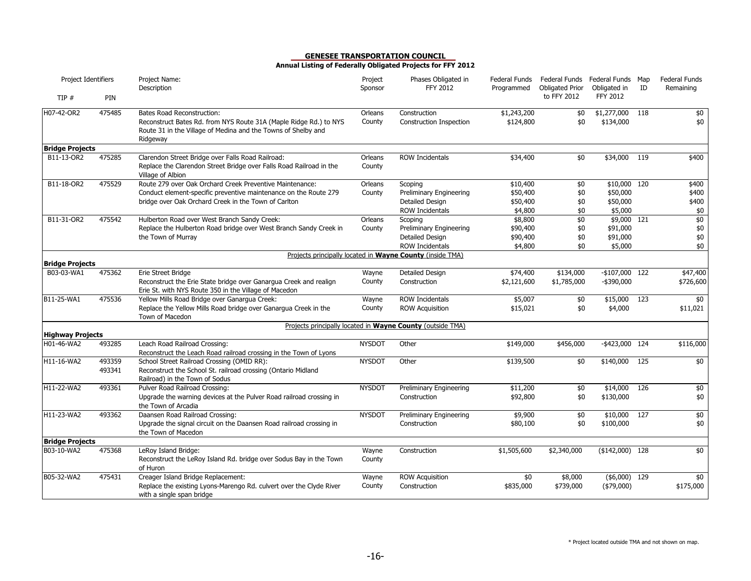| Project Identifiers                   |                  | Project Name:<br>Description                                                                                                                                                         | Project<br>Sponsor | Phases Obligated in<br>FFY 2012                                                 | Federal Funds<br>Programmed                 | <b>Obligated Prior</b>   | Federal Funds Federal Funds Map<br>Obligated in | ID  | Federal Funds<br>Remaining      |
|---------------------------------------|------------------|--------------------------------------------------------------------------------------------------------------------------------------------------------------------------------------|--------------------|---------------------------------------------------------------------------------|---------------------------------------------|--------------------------|-------------------------------------------------|-----|---------------------------------|
| TIP#                                  | PIN              |                                                                                                                                                                                      |                    |                                                                                 |                                             | to FFY 2012              | <b>FFY 2012</b>                                 |     |                                 |
| H07-42-OR2                            | 475485           | <b>Bates Road Reconstruction:</b><br>Reconstruct Bates Rd. from NYS Route 31A (Maple Ridge Rd.) to NYS<br>Route 31 in the Village of Medina and the Towns of Shelby and<br>Ridgeway  | Orleans<br>County  | Construction<br>Construction Inspection                                         | \$1,243,200<br>\$124,800                    | \$0<br>\$0               | \$1,277,000<br>\$134,000                        | 118 | \$0<br>\$0                      |
| <b>Bridge Projects</b>                |                  |                                                                                                                                                                                      |                    |                                                                                 |                                             |                          |                                                 |     |                                 |
| B11-13-OR2                            | 475285           | Clarendon Street Bridge over Falls Road Railroad:<br>Replace the Clarendon Street Bridge over Falls Road Railroad in the<br>Village of Albion                                        | Orleans<br>County  | <b>ROW Incidentals</b>                                                          | \$34,400                                    | \$0                      | \$34,000                                        | 119 | \$400                           |
| B11-18-OR2                            | 475529           | Route 279 over Oak Orchard Creek Preventive Maintenance:<br>Conduct element-specific preventive maintenance on the Route 279<br>bridge over Oak Orchard Creek in the Town of Carlton | Orleans<br>County  | Scoping<br>Preliminary Engineering<br>Detailed Design<br>ROW Incidentals        | \$10,400<br>\$50,400<br>\$50,400<br>\$4,800 | \$0<br>\$0<br>\$0<br>\$0 | \$10,000 120<br>\$50,000<br>\$50,000<br>\$5,000 |     | \$400<br>\$400<br>\$400<br>$$0$ |
| B11-31-OR2                            | 475542           | Hulberton Road over West Branch Sandy Creek:<br>Replace the Hulberton Road bridge over West Branch Sandy Creek in<br>the Town of Murray                                              | Orleans<br>County  | Scoping<br>Preliminary Engineering<br>Detailed Design<br><b>ROW Incidentals</b> | \$8,800<br>\$90,400<br>\$90,400<br>\$4,800  | \$0<br>\$0<br>\$0<br>\$0 | \$9,000 121<br>\$91,000<br>\$91,000<br>\$5,000  |     | \$0<br>$\$0$<br>$\$0$<br>\$0    |
| <b>Bridge Projects</b>                |                  |                                                                                                                                                                                      |                    | Projects principally located in Wayne County (inside TMA)                       |                                             |                          |                                                 |     |                                 |
| B03-03-WA1                            | 475362           | Erie Street Bridge<br>Reconstruct the Erie State bridge over Ganargua Creek and realign<br>Erie St. with NYS Route 350 in the Village of Macedon                                     | Wayne<br>County    | Detailed Design<br>Construction                                                 | \$74,400<br>\$2,121,600                     | \$134,000<br>\$1,785,000 | $-$107,000$ 122<br>$-$ \$390,000                |     | \$47,400<br>\$726,600           |
| B11-25-WA1                            | 475536           | Yellow Mills Road Bridge over Ganargua Creek:<br>Replace the Yellow Mills Road bridge over Ganarqua Creek in the<br>Town of Macedon                                                  | Wayne<br>County    | <b>ROW Incidentals</b><br><b>ROW Acquisition</b>                                | \$5,007<br>\$15,021                         | \$0<br>\$0               | \$15,000<br>\$4,000                             | 123 | \$0<br>\$11,021                 |
|                                       |                  |                                                                                                                                                                                      |                    | Projects principally located in Wayne County (outside TMA)                      |                                             |                          |                                                 |     |                                 |
| <b>Highway Projects</b><br>H01-46-WA2 | 493285           | Leach Road Railroad Crossing:<br>Reconstruct the Leach Road railroad crossing in the Town of Lyons                                                                                   | <b>NYSDOT</b>      | Other                                                                           | \$149,000                                   | \$456,000                | -\$423,000 124                                  |     | \$116,000                       |
| H11-16-WA2                            | 493359<br>493341 | School Street Railroad Crossing (OMID RR):<br>Reconstruct the School St. railroad crossing (Ontario Midland<br>Railroad) in the Town of Sodus                                        | <b>NYSDOT</b>      | Other                                                                           | \$139,500                                   | $\overline{50}$          | \$140,000                                       | 125 | $\frac{1}{2}$                   |
| H11-22-WA2                            | 493361           | Pulver Road Railroad Crossing:<br>Upgrade the warning devices at the Pulver Road railroad crossing in<br>the Town of Arcadia                                                         | <b>NYSDOT</b>      | <b>Preliminary Engineering</b><br>Construction                                  | \$11,200<br>\$92,800                        | \$0<br>\$0               | \$14,000<br>\$130,000                           | 126 | $\frac{1}{2}$<br>$$0$$          |
| H11-23-WA2                            | 493362           | Daansen Road Railroad Crossing:<br>Upgrade the signal circuit on the Daansen Road railroad crossing in<br>the Town of Macedon                                                        | <b>NYSDOT</b>      | Preliminary Engineering<br>Construction                                         | \$9,900<br>\$80,100                         | \$0<br>\$0               | \$10,000<br>\$100,000                           | 127 | $$0$<br>\$0                     |
| <b>Bridge Projects</b>                |                  |                                                                                                                                                                                      |                    |                                                                                 |                                             |                          |                                                 |     |                                 |
| B03-10-WA2                            | 475368           | LeRoy Island Bridge:<br>Reconstruct the LeRoy Island Rd. bridge over Sodus Bay in the Town<br>of Huron                                                                               | Wayne<br>County    | Construction                                                                    | \$1,505,600                                 | \$2,340,000              | $($142,000)$ 128                                |     | \$0                             |
| B05-32-WA2                            | 475431           | Creager Island Bridge Replacement:<br>Replace the existing Lyons-Marengo Rd. culvert over the Clyde River<br>with a single span bridge                                               | Wayne<br>County    | <b>ROW Acquisition</b><br>Construction                                          | \$0<br>\$835,000                            | \$8,000<br>\$739,000     | $($6,000)$ 129<br>$(*79,000)$                   |     | \$0<br>\$175,000                |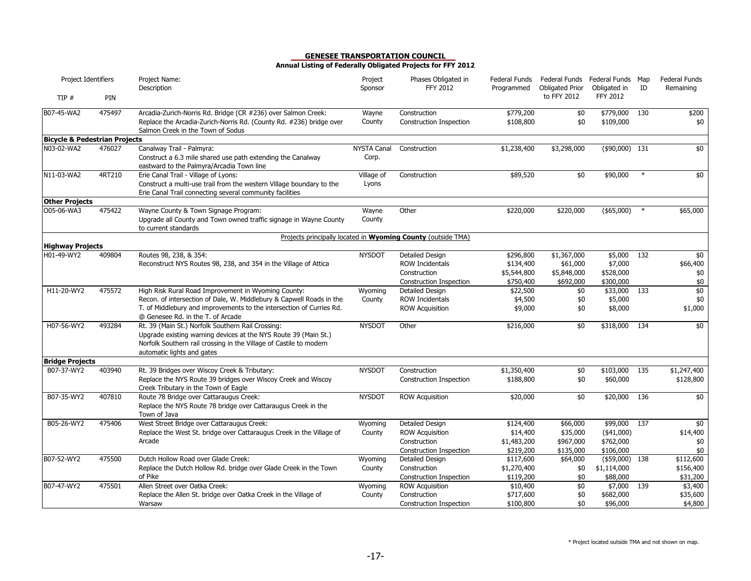| Project Identifiers                      |        | Project Name:<br>Description                                                                                                                                                                                                             | Project<br>Sponsor          | Phases Obligated in<br><b>FFY 2012</b>                                               | Federal Funds<br>Programmed                       | <b>Obligated Prior</b>                         | Federal Funds Federal Funds Map<br>Obligated in   | ID     | <b>Federal Funds</b><br>Remaining  |
|------------------------------------------|--------|------------------------------------------------------------------------------------------------------------------------------------------------------------------------------------------------------------------------------------------|-----------------------------|--------------------------------------------------------------------------------------|---------------------------------------------------|------------------------------------------------|---------------------------------------------------|--------|------------------------------------|
| TIP#                                     | PIN    |                                                                                                                                                                                                                                          |                             |                                                                                      |                                                   | to FFY 2012                                    | FFY 2012                                          |        |                                    |
| B07-45-WA2                               | 475497 | Arcadia-Zurich-Norris Rd. Bridge (CR #236) over Salmon Creek:<br>Replace the Arcadia-Zurich-Norris Rd. (County Rd. #236) bridge over<br>Salmon Creek in the Town of Sodus                                                                | Wayne<br>County             | Construction<br>Construction Inspection                                              | \$779,200<br>\$108,800                            | \$0<br>\$0                                     | \$779,000<br>\$109,000                            | 130    | \$200<br>\$0                       |
| <b>Bicycle &amp; Pedestrian Projects</b> |        |                                                                                                                                                                                                                                          |                             |                                                                                      |                                                   |                                                |                                                   |        |                                    |
| N03-02-WA2                               | 476027 | Canalway Trail - Palmyra:<br>Construct a 6.3 mile shared use path extending the Canalway<br>eastward to the Palmyra/Arcadia Town line                                                                                                    | <b>NYSTA Canal</b><br>Corp. | Construction                                                                         | \$1,238,400                                       | \$3,298,000                                    | $($ \$90,000) 131                                 |        | \$0                                |
| N11-03-WA2                               | 4RT210 | Erie Canal Trail - Village of Lyons:<br>Construct a multi-use trail from the western Village boundary to the<br>Erie Canal Trail connecting several community facilities                                                                 | Village of<br>Lyons         | Construction                                                                         | \$89,520                                          | \$0                                            | \$90,000                                          | $\ast$ | \$0                                |
| <b>Other Projects</b>                    |        |                                                                                                                                                                                                                                          |                             |                                                                                      |                                                   |                                                |                                                   |        |                                    |
| O05-06-WA3                               | 475422 | Wayne County & Town Signage Program:<br>Upgrade all County and Town owned traffic signage in Wayne County<br>to current standards                                                                                                        | Wayne<br>County             | Other                                                                                | \$220,000                                         | \$220,000                                      | (\$5,000)                                         | $\ast$ | \$65,000                           |
|                                          |        |                                                                                                                                                                                                                                          |                             | Projects principally located in Wyoming County (outside TMA)                         |                                                   |                                                |                                                   |        |                                    |
| <b>Highway Projects</b>                  |        |                                                                                                                                                                                                                                          |                             |                                                                                      |                                                   |                                                |                                                   |        |                                    |
| H01-49-WY2                               | 409804 | Routes 98, 238, & 354:<br>Reconstruct NYS Routes 98, 238, and 354 in the Village of Attica                                                                                                                                               | <b>NYSDOT</b>               | Detailed Design<br><b>ROW Incidentals</b><br>Construction                            | \$296,800<br>\$134,400<br>\$5,544,800             | \$1,367,000<br>\$61,000<br>\$5,848,000         | \$5,000<br>\$7,000<br>\$528,000                   | 132    | \$0<br>\$66,400<br>\$0             |
|                                          |        |                                                                                                                                                                                                                                          |                             | Construction Inspection                                                              | \$750,400                                         | \$692,000                                      | \$300,000                                         |        | $$0$$                              |
| H11-20-WY2                               | 475572 | High Risk Rural Road Improvement in Wyoming County:<br>Recon. of intersection of Dale, W. Middlebury & Capwell Roads in the<br>T. of Middlebury and improvements to the intersection of Curries Rd.<br>@ Genesee Rd. in the T. of Arcade | Wyoming<br>County           | Detailed Design<br><b>ROW Incidentals</b><br><b>ROW Acquisition</b>                  | \$22,500<br>\$4,500<br>\$9,000                    | \$0<br>\$0<br>\$0                              | \$33,000<br>\$5,000<br>\$8,000                    | 133    | \$0<br>$$0$$<br>\$1,000            |
| H07-56-WY2                               | 493284 | Rt. 39 (Main St.) Norfolk Southern Rail Crossing:<br>Upgrade existing warning devices at the NYS Route 39 (Main St.)<br>Norfolk Southern rail crossing in the Village of Castile to modern<br>automatic lights and gates                 | <b>NYSDOT</b>               | Other                                                                                | \$216,000                                         | \$0                                            | \$318,000                                         | 134    | $\overline{50}$                    |
| <b>Bridge Projects</b>                   |        |                                                                                                                                                                                                                                          |                             |                                                                                      |                                                   |                                                |                                                   |        |                                    |
| B07-37-WY2                               | 403940 | Rt. 39 Bridges over Wiscoy Creek & Tributary:<br>Replace the NYS Route 39 bridges over Wiscoy Creek and Wiscoy<br>Creek Tributary in the Town of Eagle                                                                                   | <b>NYSDOT</b>               | Construction<br>Construction Inspection                                              | \$1,350,400<br>\$188,800                          | \$0<br>\$0                                     | \$103,000<br>\$60,000                             | 135    | \$1,247,400<br>\$128,800           |
| B07-35-WY2                               | 407810 | Route 78 Bridge over Cattaraugus Creek:<br>Replace the NYS Route 78 bridge over Cattaraugus Creek in the<br>Town of Java                                                                                                                 | <b>NYSDOT</b>               | <b>ROW Acquisition</b>                                                               | \$20,000                                          | \$0                                            | \$20,000                                          | 136    | \$0                                |
| B05-26-WY2                               | 475406 | West Street Bridge over Cattaraugus Creek:<br>Replace the West St. bridge over Cattaraugus Creek in the Village of<br>Arcade                                                                                                             | Wyoming<br>County           | Detailed Design<br><b>ROW Acquisition</b><br>Construction<br>Construction Inspection | \$124,400<br>\$14,400<br>\$1,483,200<br>\$219,200 | \$66,000<br>\$35,000<br>\$967,000<br>\$135,000 | \$99,000<br>$(*41,000)$<br>\$762,000<br>\$106,000 | 137    | \$0<br>\$14,400<br>\$0<br>\$0      |
| B07-52-WY2                               | 475500 | Dutch Hollow Road over Glade Creek:<br>Replace the Dutch Hollow Rd. bridge over Glade Creek in the Town<br>of Pike                                                                                                                       | Wyoming<br>County           | Detailed Design<br>Construction<br>Construction Inspection                           | \$117,600<br>\$1,270,400<br>\$119,200             | \$64,000<br>\$0<br>\$0                         | $(*59,000)$<br>\$1,114,000<br>\$88,000            | 138    | \$112,600<br>\$156,400<br>\$31,200 |
| B07-47-WY2                               | 475501 | Allen Street over Oatka Creek:<br>Replace the Allen St. bridge over Oatka Creek in the Village of<br>Warsaw                                                                                                                              | Wyoming<br>County           | <b>ROW Acquisition</b><br>Construction<br>Construction Inspection                    | \$10,400<br>\$717,600<br>\$100,800                | \$0<br>\$0<br>\$0                              | \$7,000<br>\$682,000<br>\$96,000                  | 139    | \$3,400<br>\$35,600<br>\$4,800     |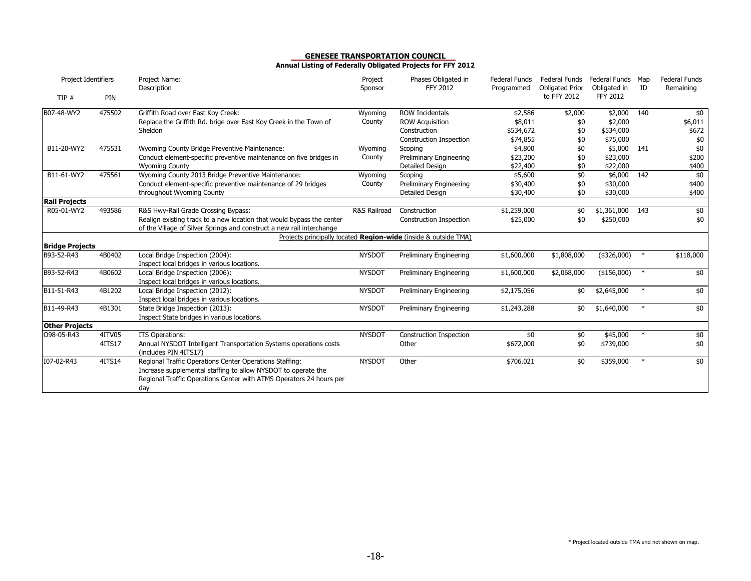| Project Identifiers                |                  | Project Name:<br>Description                                                                                                                                                                           | Project<br>Sponsor | Phases Obligated in<br><b>FFY 2012</b>                                                      | <b>Federal Funds</b><br>Programmed          | Federal Funds<br><b>Obligated Prior</b> | Federal Funds<br>Obligated in               | Map<br>ID | <b>Federal Funds</b><br>Remaining |
|------------------------------------|------------------|--------------------------------------------------------------------------------------------------------------------------------------------------------------------------------------------------------|--------------------|---------------------------------------------------------------------------------------------|---------------------------------------------|-----------------------------------------|---------------------------------------------|-----------|-----------------------------------|
| TIP#                               | PIN              |                                                                                                                                                                                                        |                    |                                                                                             |                                             | to FFY 2012                             | <b>FFY 2012</b>                             |           |                                   |
| B07-48-WY2                         | 475502           | Griffith Road over East Koy Creek:<br>Replace the Griffith Rd. brige over East Koy Creek in the Town of<br>Sheldon                                                                                     | Wyoming<br>County  | <b>ROW Incidentals</b><br><b>ROW Acquisition</b><br>Construction<br>Construction Inspection | \$2,586<br>\$8,011<br>\$534,672<br>\$74,855 | \$2,000<br>\$0<br>\$0<br>\$0            | \$2,000<br>\$2,000<br>\$534,000<br>\$75,000 | 140       | \$0<br>\$6,011<br>\$672<br>\$0    |
| B11-20-WY2                         | 475531           | Wyoming County Bridge Preventive Maintenance:<br>Conduct element-specific preventive maintenance on five bridges in<br><b>Wyoming County</b>                                                           | Wyoming<br>County  | Scoping<br>Preliminary Engineering<br>Detailed Design                                       | \$4,800<br>\$23,200<br>\$22,400             | \$0<br>\$0<br>\$0                       | \$5,000<br>\$23,000<br>\$22,000             | 141       | \$0<br>\$200<br>\$400             |
| B11-61-WY2                         | 475561           | Wyoming County 2013 Bridge Preventive Maintenance:<br>Conduct element-specific preventive maintenance of 29 bridges<br>throughout Wyoming County                                                       | Wyoming<br>County  | Scoping<br>Preliminary Engineering<br>Detailed Design                                       | \$5,600<br>\$30,400<br>\$30,400             | $\frac{1}{2}$<br>\$0<br>\$0             | \$6,000<br>\$30,000<br>\$30,000             | 142       | \$0<br>\$400<br>\$400             |
| <b>Rail Projects</b><br>R05-01-WY2 | 493586           | R&S Hwy-Rail Grade Crossing Bypass:<br>Realign existing track to a new location that would bypass the center<br>of the Village of Silver Springs and construct a new rail interchange                  | R&S Railroad       | Construction<br>Construction Inspection                                                     | \$1,259,000<br>\$25,000                     | \$0<br>\$0                              | \$1,361,000<br>\$250,000                    | 143       | $\$0$<br>\$0                      |
| <b>Bridge Projects</b>             |                  |                                                                                                                                                                                                        |                    | Projects principally located Region-wide (inside & outside TMA)                             |                                             |                                         |                                             |           |                                   |
| B93-52-R43                         | 4B0402           | Local Bridge Inspection (2004):<br>Inspect local bridges in various locations.                                                                                                                         | <b>NYSDOT</b>      | Preliminary Engineering                                                                     | \$1,600,000                                 | \$1,808,000                             | $(*326,000)$                                | $\ast$    | \$118,000                         |
| B93-52-R43                         | 4B0602           | Local Bridge Inspection (2006):<br>Inspect local bridges in various locations.                                                                                                                         | <b>NYSDOT</b>      | Preliminary Engineering                                                                     | \$1,600,000                                 | \$2,068,000                             | (\$156,000)                                 | $\ast$    | \$0                               |
| B11-51-R43                         | 4B1202           | Local Bridge Inspection (2012):<br>Inspect local bridges in various locations.                                                                                                                         | <b>NYSDOT</b>      | Preliminary Engineering                                                                     | \$2,175,056                                 | \$0                                     | \$2,645,000                                 | $\ast$    | \$0                               |
| B11-49-R43                         | 4B1301           | State Bridge Inspection (2013):<br>Inspect State bridges in various locations.                                                                                                                         | <b>NYSDOT</b>      | Preliminary Engineering                                                                     | \$1,243,288                                 | \$0                                     | \$1,640,000                                 | $\ast$    | \$0                               |
| <b>Other Projects</b>              |                  |                                                                                                                                                                                                        |                    |                                                                                             |                                             |                                         |                                             |           |                                   |
| O98-05-R43                         | 4ITV05<br>4ITS17 | <b>ITS Operations:</b><br>Annual NYSDOT Intelligent Transportation Systems operations costs<br>(includes PIN 4ITS17)                                                                                   | <b>NYSDOT</b>      | Construction Inspection<br>Other                                                            | \$0<br>\$672,000                            | \$0<br>\$0                              | \$45,000<br>\$739,000                       | $\ast$    | $\frac{1}{2}$<br>$$0$$            |
| I07-02-R43                         | 4ITS14           | Regional Traffic Operations Center Operations Staffing:<br>Increase supplemental staffing to allow NYSDOT to operate the<br>Regional Traffic Operations Center with ATMS Operators 24 hours per<br>day | <b>NYSDOT</b>      | Other                                                                                       | \$706,021                                   | \$0                                     | \$359,000                                   | $\ast$    | \$0                               |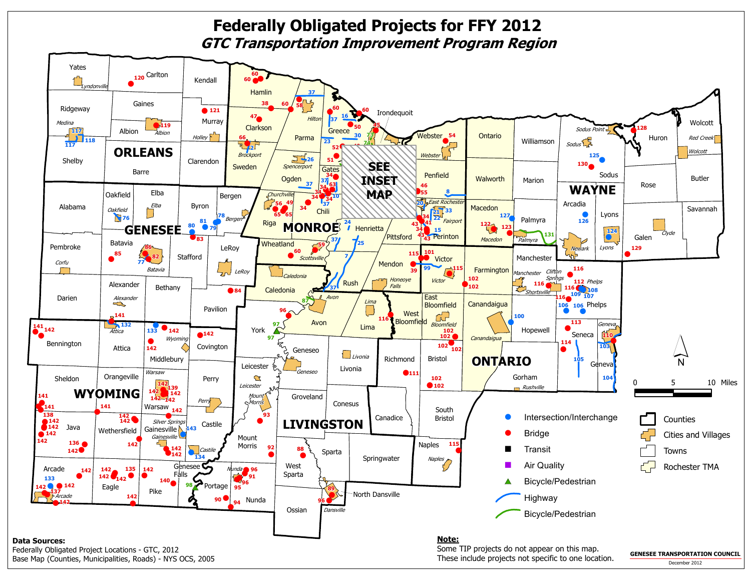#### $\bullet$ !**60** $\bullet$ Kendall**120** Carlton **Rendal 60Federally Obligated Projects for FFY 2012GTC Transportation Improvement Program Region**



 Federally Obligated Project Locations - GTC, 2012Base Map (Counties, Municipalities, Roads) - NYS OCS, 2005

Yates

 Some TIP projects do not appear on this map. These include projects not specific to one location.

**GENESEE TRANSPORTATION COUNCIL**December 2012